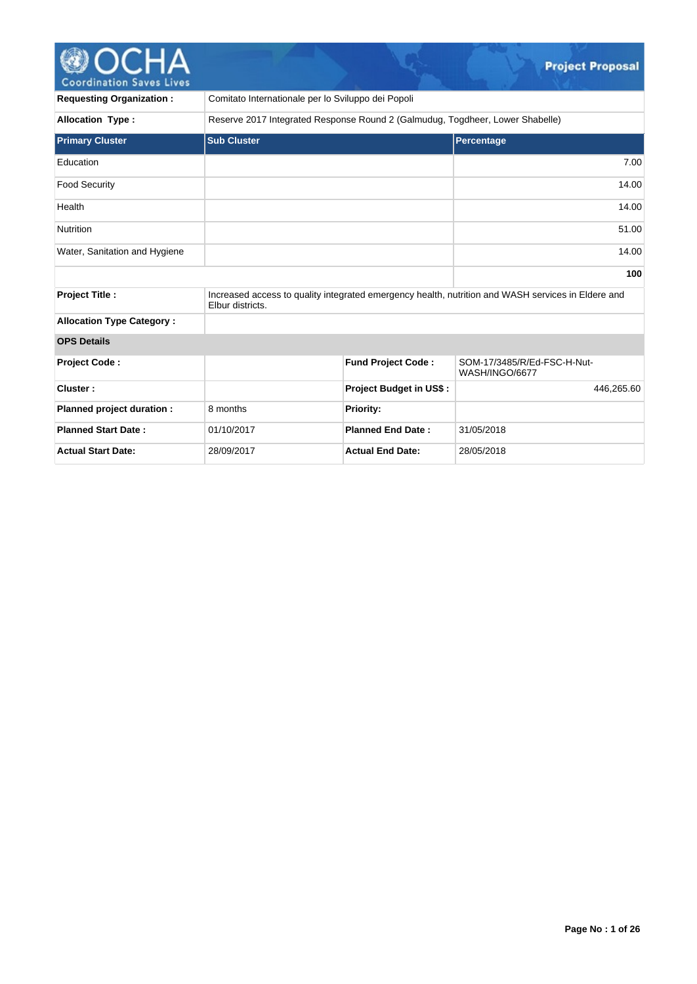# Coordination Saves Lives

| <b>Requesting Organization:</b>  | Comitato Internationale per lo Sviluppo dei Popoli                            |                                |                                                                                                    |            |  |
|----------------------------------|-------------------------------------------------------------------------------|--------------------------------|----------------------------------------------------------------------------------------------------|------------|--|
| <b>Allocation Type:</b>          | Reserve 2017 Integrated Response Round 2 (Galmudug, Togdheer, Lower Shabelle) |                                |                                                                                                    |            |  |
| <b>Primary Cluster</b>           | <b>Sub Cluster</b>                                                            |                                | Percentage                                                                                         |            |  |
| Education                        |                                                                               |                                |                                                                                                    | 7.00       |  |
| <b>Food Security</b>             |                                                                               |                                |                                                                                                    | 14.00      |  |
| Health                           |                                                                               |                                |                                                                                                    | 14.00      |  |
| <b>Nutrition</b>                 |                                                                               |                                |                                                                                                    | 51.00      |  |
| Water, Sanitation and Hygiene    |                                                                               |                                |                                                                                                    | 14.00      |  |
|                                  |                                                                               |                                |                                                                                                    | 100        |  |
| <b>Project Title:</b>            | Elbur districts.                                                              |                                | Increased access to quality integrated emergency health, nutrition and WASH services in Eldere and |            |  |
| <b>Allocation Type Category:</b> |                                                                               |                                |                                                                                                    |            |  |
| <b>OPS Details</b>               |                                                                               |                                |                                                                                                    |            |  |
| <b>Project Code:</b>             |                                                                               | <b>Fund Project Code:</b>      | SOM-17/3485/R/Ed-FSC-H-Nut-<br>WASH/INGO/6677                                                      |            |  |
| Cluster:                         |                                                                               | <b>Project Budget in US\$:</b> |                                                                                                    | 446,265.60 |  |
| Planned project duration :       | 8 months                                                                      | Priority:                      |                                                                                                    |            |  |
| <b>Planned Start Date:</b>       | 01/10/2017                                                                    | <b>Planned End Date:</b>       | 31/05/2018                                                                                         |            |  |
| <b>Actual Start Date:</b>        | 28/09/2017                                                                    | <b>Actual End Date:</b>        | 28/05/2018                                                                                         |            |  |

 $\mathcal{Q}_{\text{max}}$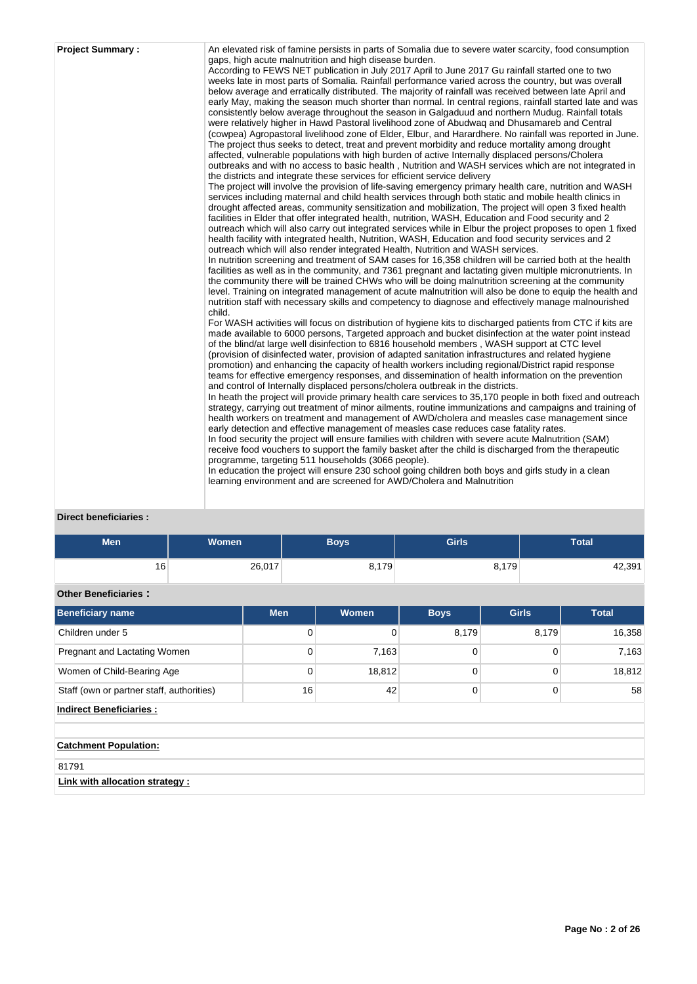| <b>Project Summary:</b><br>child. | An elevated risk of famine persists in parts of Somalia due to severe water scarcity, food consumption<br>gaps, high acute malnutrition and high disease burden.<br>According to FEWS NET publication in July 2017 April to June 2017 Gu rainfall started one to two<br>weeks late in most parts of Somalia. Rainfall performance varied across the country, but was overall<br>below average and erratically distributed. The majority of rainfall was received between late April and<br>early May, making the season much shorter than normal. In central regions, rainfall started late and was<br>consistently below average throughout the season in Galgaduud and northern Mudug. Rainfall totals<br>were relatively higher in Hawd Pastoral livelihood zone of Abudwaq and Dhusamareb and Central<br>(cowpea) Agropastoral livelihood zone of Elder, Elbur, and Harardhere. No rainfall was reported in June.<br>The project thus seeks to detect, treat and prevent morbidity and reduce mortality among drought<br>affected, vulnerable populations with high burden of active Internally displaced persons/Cholera<br>outbreaks and with no access to basic health, Nutrition and WASH services which are not integrated in<br>the districts and integrate these services for efficient service delivery<br>The project will involve the provision of life-saving emergency primary health care, nutrition and WASH<br>services including maternal and child health services through both static and mobile health clinics in<br>drought affected areas, community sensitization and mobilization, The project will open 3 fixed health<br>facilities in Elder that offer integrated health, nutrition, WASH, Education and Food security and 2<br>outreach which will also carry out integrated services while in Elbur the project proposes to open 1 fixed<br>health facility with integrated health, Nutrition, WASH, Education and food security services and 2<br>outreach which will also render integrated Health, Nutrition and WASH services.<br>In nutrition screening and treatment of SAM cases for 16,358 children will be carried both at the health<br>facilities as well as in the community, and 7361 pregnant and lactating given multiple micronutrients. In<br>the community there will be trained CHWs who will be doing malnutrition screening at the community<br>level. Training on integrated management of acute malnutrition will also be done to equip the health and<br>nutrition staff with necessary skills and competency to diagnose and effectively manage malnourished<br>For WASH activities will focus on distribution of hygiene kits to discharged patients from CTC if kits are<br>made available to 6000 persons, Targeted approach and bucket disinfection at the water point instead<br>of the blind/at large well disinfection to 6816 household members, WASH support at CTC level<br>(provision of disinfected water, provision of adapted sanitation infrastructures and related hygiene<br>promotion) and enhancing the capacity of health workers including regional/District rapid response<br>teams for effective emergency responses, and dissemination of health information on the prevention<br>and control of Internally displaced persons/cholera outbreak in the districts.<br>In heath the project will provide primary health care services to 35,170 people in both fixed and outreach<br>strategy, carrying out treatment of minor ailments, routine immunizations and campaigns and training of<br>health workers on treatment and management of AWD/cholera and measles case management since<br>early detection and effective management of measles case reduces case fatality rates.<br>In food security the project will ensure families with children with severe acute Malnutrition (SAM)<br>receive food vouchers to support the family basket after the child is discharged from the therapeutic<br>programme, targeting 511 households (3066 people).<br>In education the project will ensure 230 school going children both boys and girls study in a clean<br>learning environment and are screened for AWD/Cholera and Malnutrition |
|-----------------------------------|----------------------------------------------------------------------------------------------------------------------------------------------------------------------------------------------------------------------------------------------------------------------------------------------------------------------------------------------------------------------------------------------------------------------------------------------------------------------------------------------------------------------------------------------------------------------------------------------------------------------------------------------------------------------------------------------------------------------------------------------------------------------------------------------------------------------------------------------------------------------------------------------------------------------------------------------------------------------------------------------------------------------------------------------------------------------------------------------------------------------------------------------------------------------------------------------------------------------------------------------------------------------------------------------------------------------------------------------------------------------------------------------------------------------------------------------------------------------------------------------------------------------------------------------------------------------------------------------------------------------------------------------------------------------------------------------------------------------------------------------------------------------------------------------------------------------------------------------------------------------------------------------------------------------------------------------------------------------------------------------------------------------------------------------------------------------------------------------------------------------------------------------------------------------------------------------------------------------------------------------------------------------------------------------------------------------------------------------------------------------------------------------------------------------------------------------------------------------------------------------------------------------------------------------------------------------------------------------------------------------------------------------------------------------------------------------------------------------------------------------------------------------------------------------------------------------------------------------------------------------------------------------------------------------------------------------------------------------------------------------------------------------------------------------------------------------------------------------------------------------------------------------------------------------------------------------------------------------------------------------------------------------------------------------------------------------------------------------------------------------------------------------------------------------------------------------------------------------------------------------------------------------------------------------------------------------------------------------------------------------------------------------------------------------------------------------------------------------------------------------------------------------------------------------------------------------------------------------------------------------------------------------------------------------------------------------------------------------------------------------------------------------------------------------------------------------------------------------------------------------------------------------------------------------------------------------------------------------------|
|-----------------------------------|----------------------------------------------------------------------------------------------------------------------------------------------------------------------------------------------------------------------------------------------------------------------------------------------------------------------------------------------------------------------------------------------------------------------------------------------------------------------------------------------------------------------------------------------------------------------------------------------------------------------------------------------------------------------------------------------------------------------------------------------------------------------------------------------------------------------------------------------------------------------------------------------------------------------------------------------------------------------------------------------------------------------------------------------------------------------------------------------------------------------------------------------------------------------------------------------------------------------------------------------------------------------------------------------------------------------------------------------------------------------------------------------------------------------------------------------------------------------------------------------------------------------------------------------------------------------------------------------------------------------------------------------------------------------------------------------------------------------------------------------------------------------------------------------------------------------------------------------------------------------------------------------------------------------------------------------------------------------------------------------------------------------------------------------------------------------------------------------------------------------------------------------------------------------------------------------------------------------------------------------------------------------------------------------------------------------------------------------------------------------------------------------------------------------------------------------------------------------------------------------------------------------------------------------------------------------------------------------------------------------------------------------------------------------------------------------------------------------------------------------------------------------------------------------------------------------------------------------------------------------------------------------------------------------------------------------------------------------------------------------------------------------------------------------------------------------------------------------------------------------------------------------------------------------------------------------------------------------------------------------------------------------------------------------------------------------------------------------------------------------------------------------------------------------------------------------------------------------------------------------------------------------------------------------------------------------------------------------------------------------------------------------------------------------------------------------------------------------------------------------------------------------------------------------------------------------------------------------------------------------------------------------------------------------------------------------------------------------------------------------------------------------------------------------------------------------------------------------------------------------------------------------------------------------------------------------------------------------------|

**Direct beneficiaries :**

| <b>Men</b>                                | <b>Women</b> |            | <b>Boys</b>  | <b>Girls</b> |              | <b>Total</b> |  |
|-------------------------------------------|--------------|------------|--------------|--------------|--------------|--------------|--|
| 16                                        |              | 26,017     | 8,179        |              | 8,179        | 42,391       |  |
| <b>Other Beneficiaries:</b>               |              |            |              |              |              |              |  |
| Beneficiary name                          |              | <b>Men</b> | <b>Women</b> | <b>Boys</b>  | <b>Girls</b> | <b>Total</b> |  |
| Children under 5                          |              |            | 0<br>0       | 8,179        | 8,179        | 16,358       |  |
| Pregnant and Lactating Women              |              |            | 0<br>7,163   | 0            | $\mathbf 0$  | 7,163        |  |
| Women of Child-Bearing Age                |              |            | 0<br>18,812  | 0            | $\Omega$     | 18,812       |  |
| Staff (own or partner staff, authorities) |              |            | 16<br>42     | 0            | $\mathbf 0$  | 58           |  |
| <b>Indirect Beneficiaries:</b>            |              |            |              |              |              |              |  |
|                                           |              |            |              |              |              |              |  |
| <b>Catchment Population:</b>              |              |            |              |              |              |              |  |
| 81791                                     |              |            |              |              |              |              |  |
| Link with allocation strategy :           |              |            |              |              |              |              |  |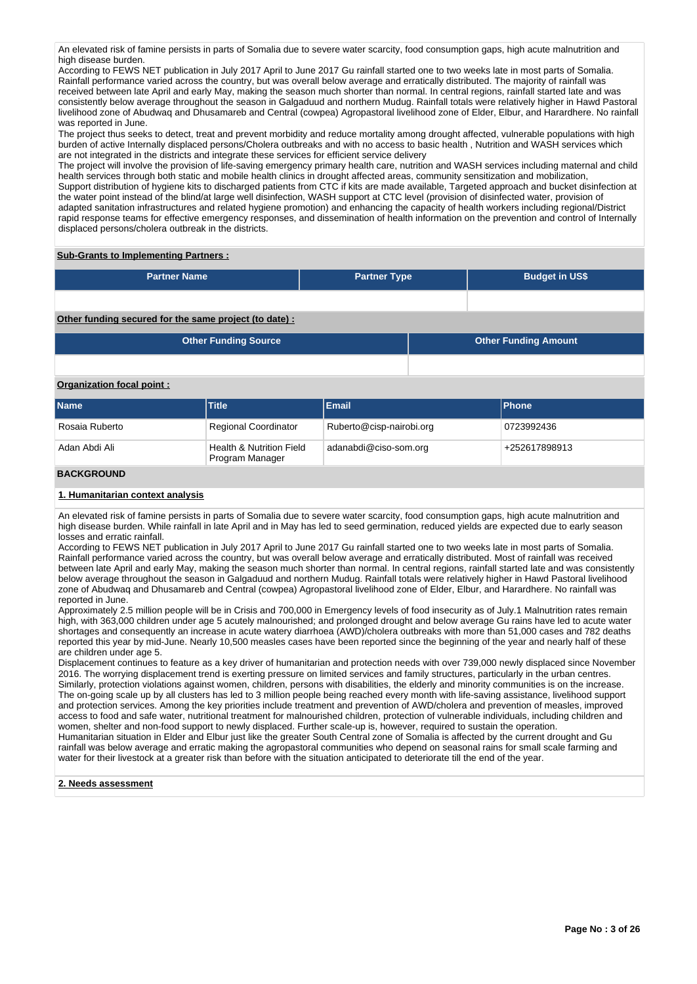An elevated risk of famine persists in parts of Somalia due to severe water scarcity, food consumption gaps, high acute malnutrition and high disease burden.

According to FEWS NET publication in July 2017 April to June 2017 Gu rainfall started one to two weeks late in most parts of Somalia. Rainfall performance varied across the country, but was overall below average and erratically distributed. The majority of rainfall was received between late April and early May, making the season much shorter than normal. In central regions, rainfall started late and was consistently below average throughout the season in Galgaduud and northern Mudug. Rainfall totals were relatively higher in Hawd Pastoral livelihood zone of Abudwaq and Dhusamareb and Central (cowpea) Agropastoral livelihood zone of Elder, Elbur, and Harardhere. No rainfall was reported in June.

The project thus seeks to detect, treat and prevent morbidity and reduce mortality among drought affected, vulnerable populations with high burden of active Internally displaced persons/Cholera outbreaks and with no access to basic health , Nutrition and WASH services which are not integrated in the districts and integrate these services for efficient service delivery

The project will involve the provision of life-saving emergency primary health care, nutrition and WASH services including maternal and child health services through both static and mobile health clinics in drought affected areas, community sensitization and mobilization, Support distribution of hygiene kits to discharged patients from CTC if kits are made available, Targeted approach and bucket disinfection at the water point instead of the blind/at large well disinfection, WASH support at CTC level (provision of disinfected water, provision of adapted sanitation infrastructures and related hygiene promotion) and enhancing the capacity of health workers including regional/District rapid response teams for effective emergency responses, and dissemination of health information on the prevention and control of Internally displaced persons/cholera outbreak in the districts.

# **Sub-Grants to Implementing Partners :**

| <b>Partner Name</b> | <b>Partner Type</b> | <b>Budget in US\$</b> |
|---------------------|---------------------|-----------------------|
|                     |                     |                       |

# **Other funding secured for the same project (to date) :**

| Other Funding Source | <b>Other Funding Amount</b> |
|----------------------|-----------------------------|
|                      |                             |

# **Organization focal point :**

| <b>Name</b>       | <b>Title</b>                                           | <b>Email</b>             | <b>IPhone</b> |
|-------------------|--------------------------------------------------------|--------------------------|---------------|
| Rosaia Ruberto    | <b>Regional Coordinator</b>                            | Ruberto@cisp-nairobi.org | 0723992436    |
| Adan Abdi Ali     | <b>Health &amp; Nutrition Field</b><br>Program Manager | adanabdi@ciso-som.org    | +252617898913 |
| <b>DACKCDOUND</b> |                                                        |                          |               |

# **BACKGROUND**

# **1. Humanitarian context analysis**

An elevated risk of famine persists in parts of Somalia due to severe water scarcity, food consumption gaps, high acute malnutrition and high disease burden. While rainfall in late April and in May has led to seed germination, reduced yields are expected due to early season losses and erratic rainfall.

According to FEWS NET publication in July 2017 April to June 2017 Gu rainfall started one to two weeks late in most parts of Somalia. Rainfall performance varied across the country, but was overall below average and erratically distributed. Most of rainfall was received between late April and early May, making the season much shorter than normal. In central regions, rainfall started late and was consistently below average throughout the season in Galgaduud and northern Mudug. Rainfall totals were relatively higher in Hawd Pastoral livelihood zone of Abudwaq and Dhusamareb and Central (cowpea) Agropastoral livelihood zone of Elder, Elbur, and Harardhere. No rainfall was reported in June.

Approximately 2.5 million people will be in Crisis and 700,000 in Emergency levels of food insecurity as of July.1 Malnutrition rates remain high, with 363,000 children under age 5 acutely malnourished; and prolonged drought and below average Gu rains have led to acute water shortages and consequently an increase in acute watery diarrhoea (AWD)/cholera outbreaks with more than 51,000 cases and 782 deaths reported this year by mid-June. Nearly 10,500 measles cases have been reported since the beginning of the year and nearly half of these are children under age 5.

Displacement continues to feature as a key driver of humanitarian and protection needs with over 739,000 newly displaced since November 2016. The worrying displacement trend is exerting pressure on limited services and family structures, particularly in the urban centres. Similarly, protection violations against women, children, persons with disabilities, the elderly and minority communities is on the increase. The on-going scale up by all clusters has led to 3 million people being reached every month with life-saving assistance, livelihood support and protection services. Among the key priorities include treatment and prevention of AWD/cholera and prevention of measles, improved access to food and safe water, nutritional treatment for malnourished children, protection of vulnerable individuals, including children and women, shelter and non-food support to newly displaced. Further scale-up is, however, required to sustain the operation. Humanitarian situation in Elder and Elbur just like the greater South Central zone of Somalia is affected by the current drought and Gu rainfall was below average and erratic making the agropastoral communities who depend on seasonal rains for small scale farming and water for their livestock at a greater risk than before with the situation anticipated to deteriorate till the end of the year.

#### **2. Needs assessment**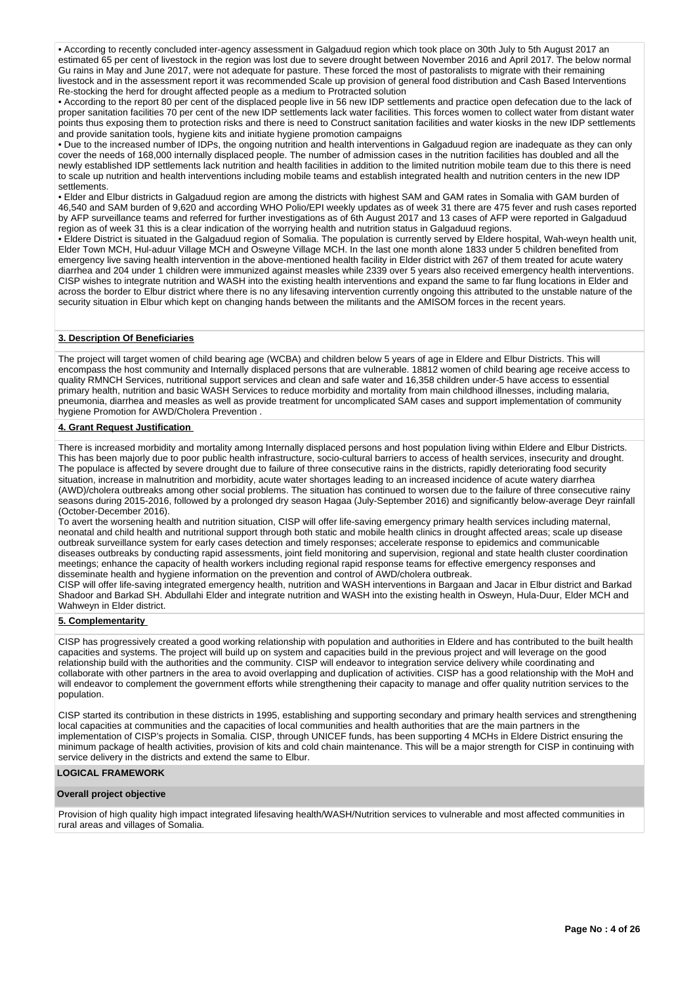• According to recently concluded inter-agency assessment in Galgaduud region which took place on 30th July to 5th August 2017 an estimated 65 per cent of livestock in the region was lost due to severe drought between November 2016 and April 2017. The below normal Gu rains in May and June 2017, were not adequate for pasture. These forced the most of pastoralists to migrate with their remaining livestock and in the assessment report it was recommended Scale up provision of general food distribution and Cash Based Interventions Re-stocking the herd for drought affected people as a medium to Protracted solution

• According to the report 80 per cent of the displaced people live in 56 new IDP settlements and practice open defecation due to the lack of proper sanitation facilities 70 per cent of the new IDP settlements lack water facilities. This forces women to collect water from distant water points thus exposing them to protection risks and there is need to Construct sanitation facilities and water kiosks in the new IDP settlements and provide sanitation tools, hygiene kits and initiate hygiene promotion campaigns

• Due to the increased number of IDPs, the ongoing nutrition and health interventions in Galgaduud region are inadequate as they can only cover the needs of 168,000 internally displaced people. The number of admission cases in the nutrition facilities has doubled and all the newly established IDP settlements lack nutrition and health facilities in addition to the limited nutrition mobile team due to this there is need to scale up nutrition and health interventions including mobile teams and establish integrated health and nutrition centers in the new IDP settlements.

• Elder and Elbur districts in Galgaduud region are among the districts with highest SAM and GAM rates in Somalia with GAM burden of 46,540 and SAM burden of 9,620 and according WHO Polio/EPI weekly updates as of week 31 there are 475 fever and rush cases reported by AFP surveillance teams and referred for further investigations as of 6th August 2017 and 13 cases of AFP were reported in Galgaduud region as of week 31 this is a clear indication of the worrying health and nutrition status in Galgaduud regions.

• Eldere District is situated in the Galgaduud region of Somalia. The population is currently served by Eldere hospital, Wah-weyn health unit, Elder Town MCH, Hul-aduur Village MCH and Osweyne Village MCH. In the last one month alone 1833 under 5 children benefited from emergency live saving health intervention in the above-mentioned health facility in Elder district with 267 of them treated for acute watery diarrhea and 204 under 1 children were immunized against measles while 2339 over 5 years also received emergency health interventions. CISP wishes to integrate nutrition and WASH into the existing health interventions and expand the same to far flung locations in Elder and across the border to Elbur district where there is no any lifesaving intervention currently ongoing this attributed to the unstable nature of the security situation in Elbur which kept on changing hands between the militants and the AMISOM forces in the recent years.

# **3. Description Of Beneficiaries**

The project will target women of child bearing age (WCBA) and children below 5 years of age in Eldere and Elbur Districts. This will encompass the host community and Internally displaced persons that are vulnerable. 18812 women of child bearing age receive access to quality RMNCH Services, nutritional support services and clean and safe water and 16,358 children under-5 have access to essential primary health, nutrition and basic WASH Services to reduce morbidity and mortality from main childhood illnesses, including malaria, pneumonia, diarrhea and measles as well as provide treatment for uncomplicated SAM cases and support implementation of community hygiene Promotion for AWD/Cholera Prevention .

# **4. Grant Request Justification**

There is increased morbidity and mortality among Internally displaced persons and host population living within Eldere and Elbur Districts. This has been majorly due to poor public health infrastructure, socio-cultural barriers to access of health services, insecurity and drought. The populace is affected by severe drought due to failure of three consecutive rains in the districts, rapidly deteriorating food security situation, increase in malnutrition and morbidity, acute water shortages leading to an increased incidence of acute watery diarrhea (AWD)/cholera outbreaks among other social problems. The situation has continued to worsen due to the failure of three consecutive rainy seasons during 2015-2016, followed by a prolonged dry season Hagaa (July-September 2016) and significantly below-average Deyr rainfall (October-December 2016).

To avert the worsening health and nutrition situation, CISP will offer life-saving emergency primary health services including maternal, neonatal and child health and nutritional support through both static and mobile health clinics in drought affected areas; scale up disease outbreak surveillance system for early cases detection and timely responses; accelerate response to epidemics and communicable diseases outbreaks by conducting rapid assessments, joint field monitoring and supervision, regional and state health cluster coordination meetings; enhance the capacity of health workers including regional rapid response teams for effective emergency responses and disseminate health and hygiene information on the prevention and control of AWD/cholera outbreak.

CISP will offer life-saving integrated emergency health, nutrition and WASH interventions in Bargaan and Jacar in Elbur district and Barkad Shadoor and Barkad SH. Abdullahi Elder and integrate nutrition and WASH into the existing health in Osweyn, Hula-Duur, Elder MCH and Wahweyn in Elder district.

#### **5. Complementarity**

CISP has progressively created a good working relationship with population and authorities in Eldere and has contributed to the built health capacities and systems. The project will build up on system and capacities build in the previous project and will leverage on the good relationship build with the authorities and the community. CISP will endeavor to integration service delivery while coordinating and collaborate with other partners in the area to avoid overlapping and duplication of activities. CISP has a good relationship with the MoH and will endeavor to complement the government efforts while strengthening their capacity to manage and offer quality nutrition services to the population.

CISP started its contribution in these districts in 1995, establishing and supporting secondary and primary health services and strengthening local capacities at communities and the capacities of local communities and health authorities that are the main partners in the implementation of CISP's projects in Somalia. CISP, through UNICEF funds, has been supporting 4 MCHs in Eldere District ensuring the minimum package of health activities, provision of kits and cold chain maintenance. This will be a major strength for CISP in continuing with service delivery in the districts and extend the same to Elbur.

## **LOGICAL FRAMEWORK**

## **Overall project objective**

Provision of high quality high impact integrated lifesaving health/WASH/Nutrition services to vulnerable and most affected communities in rural areas and villages of Somalia.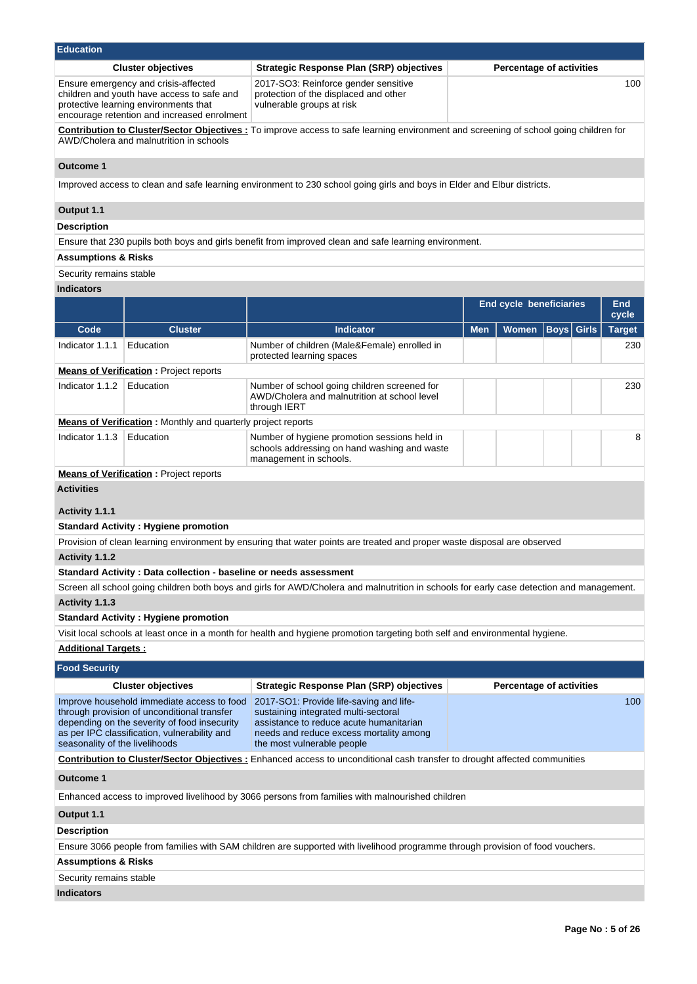| Education                      |                                                                                                                                                                                           |                                                                                                                                                                                                     |            |                                |                                 |               |  |
|--------------------------------|-------------------------------------------------------------------------------------------------------------------------------------------------------------------------------------------|-----------------------------------------------------------------------------------------------------------------------------------------------------------------------------------------------------|------------|--------------------------------|---------------------------------|---------------|--|
|                                | <b>Cluster objectives</b>                                                                                                                                                                 | <b>Strategic Response Plan (SRP) objectives</b>                                                                                                                                                     |            |                                | <b>Percentage of activities</b> |               |  |
|                                | Ensure emergency and crisis-affected<br>children and youth have access to safe and<br>protective learning environments that<br>encourage retention and increased enrolment                | 2017-SO3: Reinforce gender sensitive<br>protection of the displaced and other<br>vulnerable groups at risk                                                                                          |            |                                |                                 | 100           |  |
|                                | AWD/Cholera and malnutrition in schools                                                                                                                                                   | <b>Contribution to Cluster/Sector Objectives:</b> To improve access to safe learning environment and screening of school going children for                                                         |            |                                |                                 |               |  |
| <b>Outcome 1</b>               |                                                                                                                                                                                           |                                                                                                                                                                                                     |            |                                |                                 |               |  |
|                                |                                                                                                                                                                                           | Improved access to clean and safe learning environment to 230 school going girls and boys in Elder and Elbur districts.                                                                             |            |                                |                                 |               |  |
| Output 1.1                     |                                                                                                                                                                                           |                                                                                                                                                                                                     |            |                                |                                 |               |  |
| <b>Description</b>             |                                                                                                                                                                                           |                                                                                                                                                                                                     |            |                                |                                 |               |  |
|                                |                                                                                                                                                                                           | Ensure that 230 pupils both boys and girls benefit from improved clean and safe learning environment.                                                                                               |            |                                |                                 |               |  |
| <b>Assumptions &amp; Risks</b> |                                                                                                                                                                                           |                                                                                                                                                                                                     |            |                                |                                 |               |  |
| Security remains stable        |                                                                                                                                                                                           |                                                                                                                                                                                                     |            |                                |                                 |               |  |
| <b>Indicators</b>              |                                                                                                                                                                                           |                                                                                                                                                                                                     |            |                                |                                 |               |  |
|                                |                                                                                                                                                                                           |                                                                                                                                                                                                     |            | <b>End cycle beneficiaries</b> |                                 | End<br>cycle  |  |
| Code                           | <b>Cluster</b>                                                                                                                                                                            | <b>Indicator</b>                                                                                                                                                                                    | <b>Men</b> | Women                          | <b>Boys</b> Girls               | <b>Target</b> |  |
| Indicator 1.1.1                | Education                                                                                                                                                                                 | Number of children (Male&Female) enrolled in                                                                                                                                                        |            |                                |                                 | 230           |  |
|                                |                                                                                                                                                                                           | protected learning spaces                                                                                                                                                                           |            |                                |                                 |               |  |
|                                | <b>Means of Verification:</b> Project reports                                                                                                                                             |                                                                                                                                                                                                     |            |                                |                                 |               |  |
| Indicator 1.1.2                | Education                                                                                                                                                                                 | Number of school going children screened for<br>AWD/Cholera and malnutrition at school level<br>through IERT                                                                                        |            |                                |                                 | 230           |  |
|                                | <b>Means of Verification:</b> Monthly and quarterly project reports                                                                                                                       |                                                                                                                                                                                                     |            |                                |                                 |               |  |
| Indicator 1.1.3                | Education                                                                                                                                                                                 | Number of hygiene promotion sessions held in<br>schools addressing on hand washing and waste<br>management in schools.                                                                              |            |                                |                                 | 8             |  |
|                                | <b>Means of Verification:</b> Project reports                                                                                                                                             |                                                                                                                                                                                                     |            |                                |                                 |               |  |
| <b>Activities</b>              |                                                                                                                                                                                           |                                                                                                                                                                                                     |            |                                |                                 |               |  |
| Activity 1.1.1                 |                                                                                                                                                                                           |                                                                                                                                                                                                     |            |                                |                                 |               |  |
|                                | <b>Standard Activity: Hygiene promotion</b>                                                                                                                                               |                                                                                                                                                                                                     |            |                                |                                 |               |  |
|                                |                                                                                                                                                                                           | Provision of clean learning environment by ensuring that water points are treated and proper waste disposal are observed                                                                            |            |                                |                                 |               |  |
| Activity 1.1.2                 |                                                                                                                                                                                           |                                                                                                                                                                                                     |            |                                |                                 |               |  |
|                                | Standard Activity : Data collection - baseline or needs assessment                                                                                                                        |                                                                                                                                                                                                     |            |                                |                                 |               |  |
|                                |                                                                                                                                                                                           | Screen all school going children both boys and girls for AWD/Cholera and malnutrition in schools for early case detection and management.                                                           |            |                                |                                 |               |  |
| Activity 1.1.3                 |                                                                                                                                                                                           |                                                                                                                                                                                                     |            |                                |                                 |               |  |
|                                | <b>Standard Activity: Hygiene promotion</b>                                                                                                                                               |                                                                                                                                                                                                     |            |                                |                                 |               |  |
|                                |                                                                                                                                                                                           | Visit local schools at least once in a month for health and hygiene promotion targeting both self and environmental hygiene.                                                                        |            |                                |                                 |               |  |
| <b>Additional Targets:</b>     |                                                                                                                                                                                           |                                                                                                                                                                                                     |            |                                |                                 |               |  |
| <b>Food Security</b>           |                                                                                                                                                                                           |                                                                                                                                                                                                     |            |                                |                                 |               |  |
|                                | <b>Cluster objectives</b>                                                                                                                                                                 | <b>Strategic Response Plan (SRP) objectives</b>                                                                                                                                                     |            |                                | <b>Percentage of activities</b> |               |  |
| seasonality of the livelihoods | Improve household immediate access to food<br>through provision of unconditional transfer<br>depending on the severity of food insecurity<br>as per IPC classification, vulnerability and | 2017-SO1: Provide life-saving and life-<br>sustaining integrated multi-sectoral<br>assistance to reduce acute humanitarian<br>needs and reduce excess mortality among<br>the most vulnerable people |            |                                |                                 | 100           |  |
|                                |                                                                                                                                                                                           | <b>Contribution to Cluster/Sector Objectives :</b> Enhanced access to unconditional cash transfer to drought affected communities                                                                   |            |                                |                                 |               |  |
| Outcome 1                      |                                                                                                                                                                                           |                                                                                                                                                                                                     |            |                                |                                 |               |  |
|                                |                                                                                                                                                                                           | Enhanced access to improved livelihood by 3066 persons from families with malnourished children                                                                                                     |            |                                |                                 |               |  |
| Output 1.1                     |                                                                                                                                                                                           |                                                                                                                                                                                                     |            |                                |                                 |               |  |
| <b>Description</b>             |                                                                                                                                                                                           |                                                                                                                                                                                                     |            |                                |                                 |               |  |
|                                |                                                                                                                                                                                           | Ensure 3066 people from families with SAM children are supported with livelihood programme through provision of food vouchers.                                                                      |            |                                |                                 |               |  |
| <b>Assumptions &amp; Risks</b> |                                                                                                                                                                                           |                                                                                                                                                                                                     |            |                                |                                 |               |  |
| Security remains stable        |                                                                                                                                                                                           |                                                                                                                                                                                                     |            |                                |                                 |               |  |
| <b>Indicators</b>              |                                                                                                                                                                                           |                                                                                                                                                                                                     |            |                                |                                 |               |  |
|                                |                                                                                                                                                                                           |                                                                                                                                                                                                     |            |                                |                                 |               |  |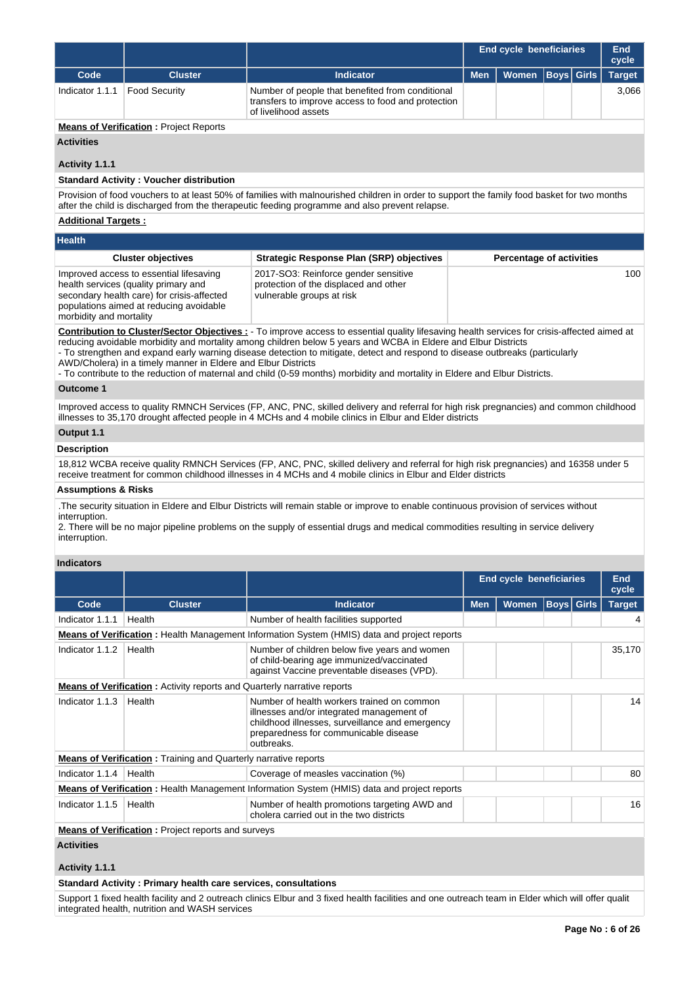|                                                                                                                                                                                                                                                                                                                                                                                                                                                                                                                                                                                                 |                                                                                                                                                                          |                                                                                                                                                                                                                                                                             | <b>End cycle beneficiaries</b> |                                 |                   |                   | <b>End</b><br>cycle |  |  |
|-------------------------------------------------------------------------------------------------------------------------------------------------------------------------------------------------------------------------------------------------------------------------------------------------------------------------------------------------------------------------------------------------------------------------------------------------------------------------------------------------------------------------------------------------------------------------------------------------|--------------------------------------------------------------------------------------------------------------------------------------------------------------------------|-----------------------------------------------------------------------------------------------------------------------------------------------------------------------------------------------------------------------------------------------------------------------------|--------------------------------|---------------------------------|-------------------|-------------------|---------------------|--|--|
| Code                                                                                                                                                                                                                                                                                                                                                                                                                                                                                                                                                                                            | <b>Cluster</b>                                                                                                                                                           | <b>Indicator</b>                                                                                                                                                                                                                                                            | <b>Men</b>                     | <b>Women</b>                    | <b>Boys Girls</b> |                   | <b>Target</b>       |  |  |
| Indicator 1.1.1                                                                                                                                                                                                                                                                                                                                                                                                                                                                                                                                                                                 | <b>Food Security</b>                                                                                                                                                     | Number of people that benefited from conditional<br>transfers to improve access to food and protection<br>of livelihood assets                                                                                                                                              |                                |                                 |                   |                   | 3,066               |  |  |
|                                                                                                                                                                                                                                                                                                                                                                                                                                                                                                                                                                                                 | <b>Means of Verification: Project Reports</b>                                                                                                                            |                                                                                                                                                                                                                                                                             |                                |                                 |                   |                   |                     |  |  |
| <b>Activities</b>                                                                                                                                                                                                                                                                                                                                                                                                                                                                                                                                                                               |                                                                                                                                                                          |                                                                                                                                                                                                                                                                             |                                |                                 |                   |                   |                     |  |  |
|                                                                                                                                                                                                                                                                                                                                                                                                                                                                                                                                                                                                 |                                                                                                                                                                          |                                                                                                                                                                                                                                                                             |                                |                                 |                   |                   |                     |  |  |
| Activity 1.1.1                                                                                                                                                                                                                                                                                                                                                                                                                                                                                                                                                                                  |                                                                                                                                                                          |                                                                                                                                                                                                                                                                             |                                |                                 |                   |                   |                     |  |  |
|                                                                                                                                                                                                                                                                                                                                                                                                                                                                                                                                                                                                 | <b>Standard Activity: Voucher distribution</b>                                                                                                                           | Provision of food vouchers to at least 50% of families with malnourished children in order to support the family food basket for two months                                                                                                                                 |                                |                                 |                   |                   |                     |  |  |
|                                                                                                                                                                                                                                                                                                                                                                                                                                                                                                                                                                                                 |                                                                                                                                                                          | after the child is discharged from the therapeutic feeding programme and also prevent relapse.                                                                                                                                                                              |                                |                                 |                   |                   |                     |  |  |
|                                                                                                                                                                                                                                                                                                                                                                                                                                                                                                                                                                                                 | <b>Additional Targets:</b>                                                                                                                                               |                                                                                                                                                                                                                                                                             |                                |                                 |                   |                   |                     |  |  |
| <b>Health</b>                                                                                                                                                                                                                                                                                                                                                                                                                                                                                                                                                                                   |                                                                                                                                                                          |                                                                                                                                                                                                                                                                             |                                |                                 |                   |                   |                     |  |  |
|                                                                                                                                                                                                                                                                                                                                                                                                                                                                                                                                                                                                 | <b>Cluster objectives</b>                                                                                                                                                | <b>Strategic Response Plan (SRP) objectives</b>                                                                                                                                                                                                                             |                                | <b>Percentage of activities</b> |                   |                   |                     |  |  |
|                                                                                                                                                                                                                                                                                                                                                                                                                                                                                                                                                                                                 |                                                                                                                                                                          |                                                                                                                                                                                                                                                                             |                                |                                 |                   |                   |                     |  |  |
| morbidity and mortality                                                                                                                                                                                                                                                                                                                                                                                                                                                                                                                                                                         | Improved access to essential lifesaving<br>health services (quality primary and<br>secondary health care) for crisis-affected<br>populations aimed at reducing avoidable | 2017-SO3: Reinforce gender sensitive<br>protection of the displaced and other<br>vulnerable groups at risk                                                                                                                                                                  |                                |                                 |                   |                   | 100                 |  |  |
| Contribution to Cluster/Sector Objectives : - To improve access to essential quality lifesaving health services for crisis-affected aimed at<br>reducing avoidable morbidity and mortality among children below 5 years and WCBA in Eldere and Elbur Districts<br>- To strengthen and expand early warning disease detection to mitigate, detect and respond to disease outbreaks (particularly<br>AWD/Cholera) in a timely manner in Eldere and Elbur Districts<br>- To contribute to the reduction of maternal and child (0-59 months) morbidity and mortality in Eldere and Elbur Districts. |                                                                                                                                                                          |                                                                                                                                                                                                                                                                             |                                |                                 |                   |                   |                     |  |  |
| <b>Outcome 1</b>                                                                                                                                                                                                                                                                                                                                                                                                                                                                                                                                                                                |                                                                                                                                                                          |                                                                                                                                                                                                                                                                             |                                |                                 |                   |                   |                     |  |  |
|                                                                                                                                                                                                                                                                                                                                                                                                                                                                                                                                                                                                 |                                                                                                                                                                          | Improved access to quality RMNCH Services (FP, ANC, PNC, skilled delivery and referral for high risk pregnancies) and common childhood<br>illnesses to 35,170 drought affected people in 4 MCHs and 4 mobile clinics in Elbur and Elder districts                           |                                |                                 |                   |                   |                     |  |  |
| Output 1.1                                                                                                                                                                                                                                                                                                                                                                                                                                                                                                                                                                                      |                                                                                                                                                                          |                                                                                                                                                                                                                                                                             |                                |                                 |                   |                   |                     |  |  |
| <b>Description</b>                                                                                                                                                                                                                                                                                                                                                                                                                                                                                                                                                                              |                                                                                                                                                                          |                                                                                                                                                                                                                                                                             |                                |                                 |                   |                   |                     |  |  |
|                                                                                                                                                                                                                                                                                                                                                                                                                                                                                                                                                                                                 |                                                                                                                                                                          | 18,812 WCBA receive quality RMNCH Services (FP, ANC, PNC, skilled delivery and referral for high risk pregnancies) and 16358 under 5<br>receive treatment for common childhood illnesses in 4 MCHs and 4 mobile clinics in Elbur and Elder districts                        |                                |                                 |                   |                   |                     |  |  |
| <b>Assumptions &amp; Risks</b>                                                                                                                                                                                                                                                                                                                                                                                                                                                                                                                                                                  |                                                                                                                                                                          |                                                                                                                                                                                                                                                                             |                                |                                 |                   |                   |                     |  |  |
| interruption.<br>interruption.                                                                                                                                                                                                                                                                                                                                                                                                                                                                                                                                                                  |                                                                                                                                                                          | The security situation in Eldere and Elbur Districts will remain stable or improve to enable continuous provision of services without<br>2. There will be no major pipeline problems on the supply of essential drugs and medical commodities resulting in service delivery |                                |                                 |                   |                   |                     |  |  |
| <b>Indicators</b>                                                                                                                                                                                                                                                                                                                                                                                                                                                                                                                                                                               |                                                                                                                                                                          |                                                                                                                                                                                                                                                                             |                                |                                 |                   |                   |                     |  |  |
|                                                                                                                                                                                                                                                                                                                                                                                                                                                                                                                                                                                                 |                                                                                                                                                                          |                                                                                                                                                                                                                                                                             |                                | <b>End cycle beneficiaries</b>  |                   |                   | End<br>cycle        |  |  |
| Code                                                                                                                                                                                                                                                                                                                                                                                                                                                                                                                                                                                            | <b>Cluster</b>                                                                                                                                                           | <b>Indicator</b>                                                                                                                                                                                                                                                            | <b>Men</b>                     | <b>Women</b>                    |                   | <b>Boys</b> Girls | <b>Target</b>       |  |  |
| Indicator 1.1.1                                                                                                                                                                                                                                                                                                                                                                                                                                                                                                                                                                                 | Health                                                                                                                                                                   | Number of health facilities supported                                                                                                                                                                                                                                       |                                |                                 |                   |                   | 4                   |  |  |
|                                                                                                                                                                                                                                                                                                                                                                                                                                                                                                                                                                                                 |                                                                                                                                                                          | <b>Means of Verification</b> : Health Management Information System (HMIS) data and project reports                                                                                                                                                                         |                                |                                 |                   |                   |                     |  |  |
| Indicator 1.1.2                                                                                                                                                                                                                                                                                                                                                                                                                                                                                                                                                                                 | Health                                                                                                                                                                   | Number of children below five years and women<br>of child-bearing age immunized/vaccinated<br>against Vaccine preventable diseases (VPD).                                                                                                                                   |                                |                                 |                   |                   | 35,170              |  |  |
|                                                                                                                                                                                                                                                                                                                                                                                                                                                                                                                                                                                                 | <b>Means of Verification</b> : Activity reports and Quarterly narrative reports                                                                                          |                                                                                                                                                                                                                                                                             |                                |                                 |                   |                   |                     |  |  |
| Indicator 1.1.3                                                                                                                                                                                                                                                                                                                                                                                                                                                                                                                                                                                 | Health                                                                                                                                                                   | Number of health workers trained on common<br>illnesses and/or integrated management of<br>childhood illnesses, surveillance and emergency<br>preparedness for communicable disease<br>outbreaks.                                                                           |                                |                                 |                   |                   | 14                  |  |  |
|                                                                                                                                                                                                                                                                                                                                                                                                                                                                                                                                                                                                 | <b>Means of Verification: Training and Quarterly narrative reports</b>                                                                                                   |                                                                                                                                                                                                                                                                             |                                |                                 |                   |                   |                     |  |  |
| Indicator 1.1.4                                                                                                                                                                                                                                                                                                                                                                                                                                                                                                                                                                                 | Health                                                                                                                                                                   | Coverage of measles vaccination (%)                                                                                                                                                                                                                                         |                                |                                 |                   |                   | 80                  |  |  |
|                                                                                                                                                                                                                                                                                                                                                                                                                                                                                                                                                                                                 |                                                                                                                                                                          | Means of Verification: Health Management Information System (HMIS) data and project reports                                                                                                                                                                                 |                                |                                 |                   |                   |                     |  |  |
| Indicator 1.1.5                                                                                                                                                                                                                                                                                                                                                                                                                                                                                                                                                                                 | Health                                                                                                                                                                   | Number of health promotions targeting AWD and<br>cholera carried out in the two districts                                                                                                                                                                                   |                                |                                 |                   |                   | 16                  |  |  |
|                                                                                                                                                                                                                                                                                                                                                                                                                                                                                                                                                                                                 | <b>Means of Verification:</b> Project reports and surveys                                                                                                                |                                                                                                                                                                                                                                                                             |                                |                                 |                   |                   |                     |  |  |

**Activities**

**Activity 1.1.1** 

**Standard Activity : Primary health care services, consultations**

Support 1 fixed health facility and 2 outreach clinics Elbur and 3 fixed health facilities and one outreach team in Elder which will offer qualit integrated health, nutrition and WASH services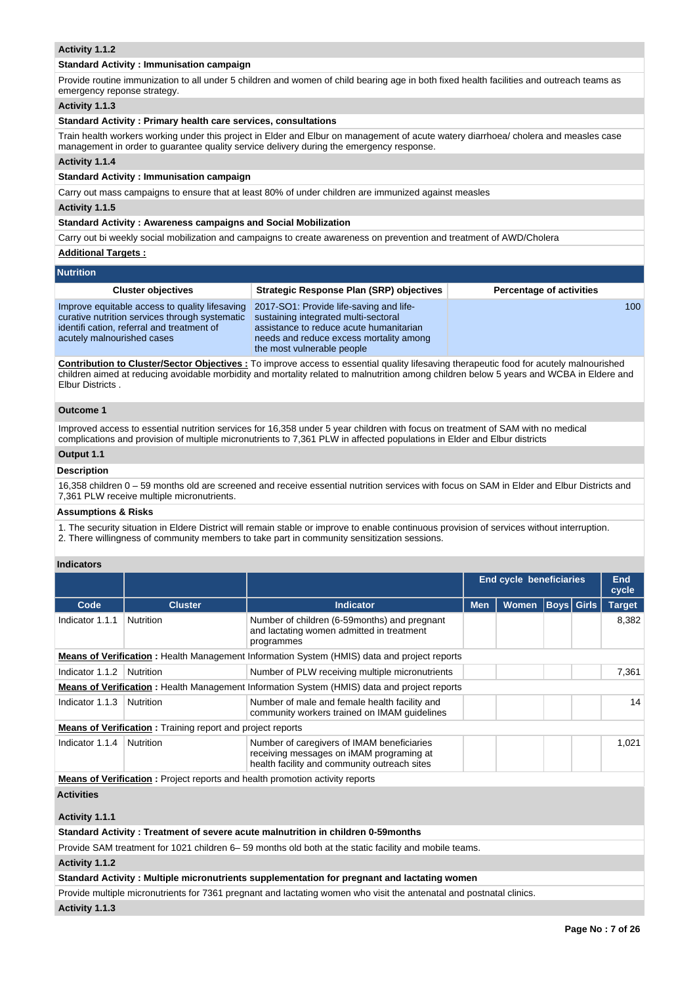## **Activity 1.1.2**

## **Standard Activity : Immunisation campaign**

Provide routine immunization to all under 5 children and women of child bearing age in both fixed health facilities and outreach teams as emergency reponse strategy.

## **Activity 1.1.3**

# **Standard Activity : Primary health care services, consultations**

Train health workers working under this project in Elder and Elbur on management of acute watery diarrhoea/ cholera and measles case management in order to guarantee quality service delivery during the emergency response.

#### **Activity 1.1.4**

#### **Standard Activity : Immunisation campaign**

Carry out mass campaigns to ensure that at least 80% of under children are immunized against measles

#### **Activity 1.1.5**

# **Standard Activity : Awareness campaigns and Social Mobilization**

Carry out bi weekly social mobilization and campaigns to create awareness on prevention and treatment of AWD/Cholera

#### **Additional Targets :**

#### **Nutrition**

| .                                                                                                                                                                            |                                                                                                                                                                                                     |                                 |
|------------------------------------------------------------------------------------------------------------------------------------------------------------------------------|-----------------------------------------------------------------------------------------------------------------------------------------------------------------------------------------------------|---------------------------------|
| <b>Cluster objectives</b>                                                                                                                                                    | <b>Strategic Response Plan (SRP) objectives</b>                                                                                                                                                     | <b>Percentage of activities</b> |
| Improve equitable access to quality lifesaving<br>curative nutrition services through systematic<br>identifi cation, referral and treatment of<br>acutely malnourished cases | 2017-SO1: Provide life-saving and life-<br>sustaining integrated multi-sectoral<br>assistance to reduce acute humanitarian<br>needs and reduce excess mortality among<br>the most vulnerable people | 100                             |

**Contribution to Cluster/Sector Objectives :** To improve access to essential quality lifesaving therapeutic food for acutely malnourished children aimed at reducing avoidable morbidity and mortality related to malnutrition among children below 5 years and WCBA in Eldere and Elbur Districts .

#### **Outcome 1**

Improved access to essential nutrition services for 16,358 under 5 year children with focus on treatment of SAM with no medical complications and provision of multiple micronutrients to 7,361 PLW in affected populations in Elder and Elbur districts

# **Output 1.1**

# **Description**

16,358 children 0 – 59 months old are screened and receive essential nutrition services with focus on SAM in Elder and Elbur Districts and 7,361 PLW receive multiple micronutrients.

#### **Assumptions & Risks**

1. The security situation in Eldere District will remain stable or improve to enable continuous provision of services without interruption.

2. There willingness of community members to take part in community sensitization sessions.

## **Indicators**

|                                                                                                    |                                                                   |                                                                                                                                        | <b>End cycle beneficiaries</b> |              |  | <b>End</b><br>cycle |               |
|----------------------------------------------------------------------------------------------------|-------------------------------------------------------------------|----------------------------------------------------------------------------------------------------------------------------------------|--------------------------------|--------------|--|---------------------|---------------|
| Code                                                                                               | <b>Cluster</b>                                                    | <b>Indicator</b>                                                                                                                       | <b>Men</b>                     | <b>Women</b> |  | <b>Boys</b> Girls   | <b>Target</b> |
| Indicator 1.1.1                                                                                    | <b>Nutrition</b>                                                  | Number of children (6-59 months) and pregnant<br>and lactating women admitted in treatment<br>programmes                               |                                |              |  |                     | 8.382         |
| <b>Means of Verification:</b> Health Management Information System (HMIS) data and project reports |                                                                   |                                                                                                                                        |                                |              |  |                     |               |
| Indicator 1.1.2                                                                                    | Nutrition                                                         | Number of PLW receiving multiple micronutrients                                                                                        |                                |              |  |                     | 7,361         |
|                                                                                                    |                                                                   | <b>Means of Verification</b> : Health Management Information System (HMIS) data and project reports                                    |                                |              |  |                     |               |
| Indicator 1.1.3                                                                                    | Nutrition                                                         | Number of male and female health facility and<br>community workers trained on IMAM quidelines                                          |                                |              |  |                     | 14            |
|                                                                                                    | <b>Means of Verification:</b> Training report and project reports |                                                                                                                                        |                                |              |  |                     |               |
| Indicator 1.1.4                                                                                    | Nutrition                                                         | Number of caregivers of IMAM beneficiaries<br>receiving messages on iMAM programing at<br>health facility and community outreach sites |                                |              |  |                     | 1,021         |
|                                                                                                    |                                                                   | <b>Means of Verification:</b> Project reports and health promotion activity reports                                                    |                                |              |  |                     |               |
| $A = 1.5 + 1.5 + 1.5 + 1.5$                                                                        |                                                                   |                                                                                                                                        |                                |              |  |                     |               |

**Activities**

**Activity 1.1.1** 

## **Standard Activity : Treatment of severe acute malnutrition in children 0-59months**

Provide SAM treatment for 1021 children 6– 59 months old both at the static facility and mobile teams.

**Activity 1.1.2** 

#### **Standard Activity : Multiple micronutrients supplementation for pregnant and lactating women**

Provide multiple micronutrients for 7361 pregnant and lactating women who visit the antenatal and postnatal clinics.

**Activity 1.1.3**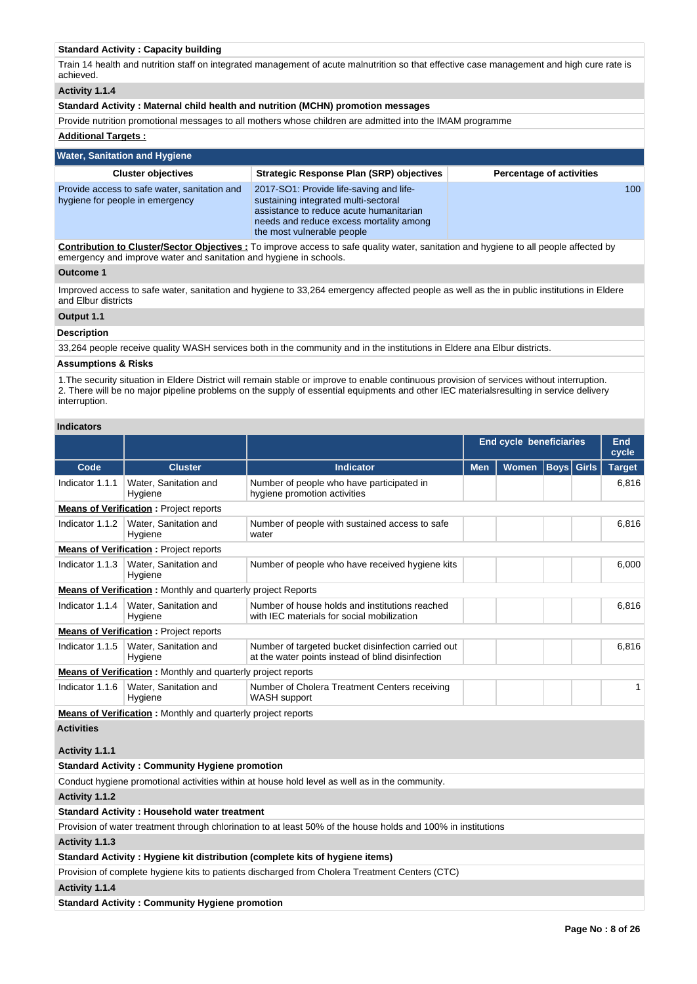# **Standard Activity : Capacity building**

Train 14 health and nutrition staff on integrated management of acute malnutrition so that effective case management and high cure rate is achieved.

**Activity 1.1.4** 

#### **Standard Activity : Maternal child health and nutrition (MCHN) promotion messages**

Provide nutrition promotional messages to all mothers whose children are admitted into the IMAM programme

# **Additional Targets :**

| <b>Water, Sanitation and Hygiene</b>                                            |                                                                                                                                                                                                     |                                 |  |  |  |  |
|---------------------------------------------------------------------------------|-----------------------------------------------------------------------------------------------------------------------------------------------------------------------------------------------------|---------------------------------|--|--|--|--|
| <b>Cluster objectives</b>                                                       | <b>Strategic Response Plan (SRP) objectives</b>                                                                                                                                                     | <b>Percentage of activities</b> |  |  |  |  |
| Provide access to safe water, sanitation and<br>hygiene for people in emergency | 2017-SO1: Provide life-saving and life-<br>sustaining integrated multi-sectoral<br>assistance to reduce acute humanitarian<br>needs and reduce excess mortality among<br>the most vulnerable people | 100                             |  |  |  |  |

**Contribution to Cluster/Sector Objectives :** To improve access to safe quality water, sanitation and hygiene to all people affected by emergency and improve water and sanitation and hygiene in schools.

# **Outcome 1**

Improved access to safe water, sanitation and hygiene to 33,264 emergency affected people as well as the in public institutions in Eldere and Elbur districts

# **Output 1.1**

#### **Description**

33,264 people receive quality WASH services both in the community and in the institutions in Eldere ana Elbur districts.

#### **Assumptions & Risks**

1.The security situation in Eldere District will remain stable or improve to enable continuous provision of services without interruption. 2. There will be no major pipeline problems on the supply of essential equipments and other IEC materialsresulting in service delivery interruption.

#### **Indicators**

|                   |                                                                     |                                                                                                               | <b>End cycle beneficiaries</b> |              |                   | End<br>cycle |               |
|-------------------|---------------------------------------------------------------------|---------------------------------------------------------------------------------------------------------------|--------------------------------|--------------|-------------------|--------------|---------------|
| Code              | <b>Cluster</b>                                                      | <b>Indicator</b>                                                                                              | <b>Men</b>                     | <b>Women</b> | <b>Boys</b> Girls |              | <b>Target</b> |
| Indicator 1.1.1   | Water, Sanitation and<br>Hygiene                                    | Number of people who have participated in<br>hygiene promotion activities                                     |                                |              |                   |              | 6,816         |
|                   | <b>Means of Verification:</b> Project reports                       |                                                                                                               |                                |              |                   |              |               |
| Indicator 1.1.2   | Water, Sanitation and<br>Hygiene                                    | Number of people with sustained access to safe<br>water                                                       |                                |              |                   |              | 6.816         |
|                   | <b>Means of Verification:</b> Project reports                       |                                                                                                               |                                |              |                   |              |               |
| Indicator 1.1.3   | Water, Sanitation and<br>Hygiene                                    | Number of people who have received hygiene kits                                                               |                                |              |                   |              | 6,000         |
|                   | <b>Means of Verification:</b> Monthly and quarterly project Reports |                                                                                                               |                                |              |                   |              |               |
| Indicator 1.1.4   | Water, Sanitation and<br>Hygiene                                    | Number of house holds and institutions reached<br>with IEC materials for social mobilization                  |                                |              |                   |              | 6.816         |
|                   | <b>Means of Verification:</b> Project reports                       |                                                                                                               |                                |              |                   |              |               |
| Indicator 1.1.5   | Water, Sanitation and<br>Hygiene                                    | Number of targeted bucket disinfection carried out<br>at the water points instead of blind disinfection       |                                |              |                   |              | 6,816         |
|                   | <b>Means of Verification:</b> Monthly and quarterly project reports |                                                                                                               |                                |              |                   |              |               |
| Indicator 1.1.6   | Water, Sanitation and<br>Hygiene                                    | Number of Cholera Treatment Centers receiving<br><b>WASH</b> support                                          |                                |              |                   |              | $\mathbf{1}$  |
|                   | <b>Means of Verification:</b> Monthly and quarterly project reports |                                                                                                               |                                |              |                   |              |               |
| <b>Activities</b> |                                                                     |                                                                                                               |                                |              |                   |              |               |
| Activity 1.1.1    |                                                                     |                                                                                                               |                                |              |                   |              |               |
|                   | <b>Standard Activity: Community Hygiene promotion</b>               |                                                                                                               |                                |              |                   |              |               |
|                   |                                                                     | Conduct hygiene promotional activities within at house hold level as well as in the community.                |                                |              |                   |              |               |
| Activity 1.1.2    |                                                                     |                                                                                                               |                                |              |                   |              |               |
|                   | <b>Standard Activity: Household water treatment</b>                 |                                                                                                               |                                |              |                   |              |               |
|                   |                                                                     | Provision of water treatment through chlorination to at least 50% of the house holds and 100% in institutions |                                |              |                   |              |               |
| Activity 1.1.3    |                                                                     |                                                                                                               |                                |              |                   |              |               |
|                   |                                                                     | Standard Activity: Hygiene kit distribution (complete kits of hygiene items)                                  |                                |              |                   |              |               |
|                   |                                                                     | Provision of complete hygiene kits to patients discharged from Cholera Treatment Centers (CTC)                |                                |              |                   |              |               |
| Activity 1.1.4    |                                                                     |                                                                                                               |                                |              |                   |              |               |

**Standard Activity : Community Hygiene promotion**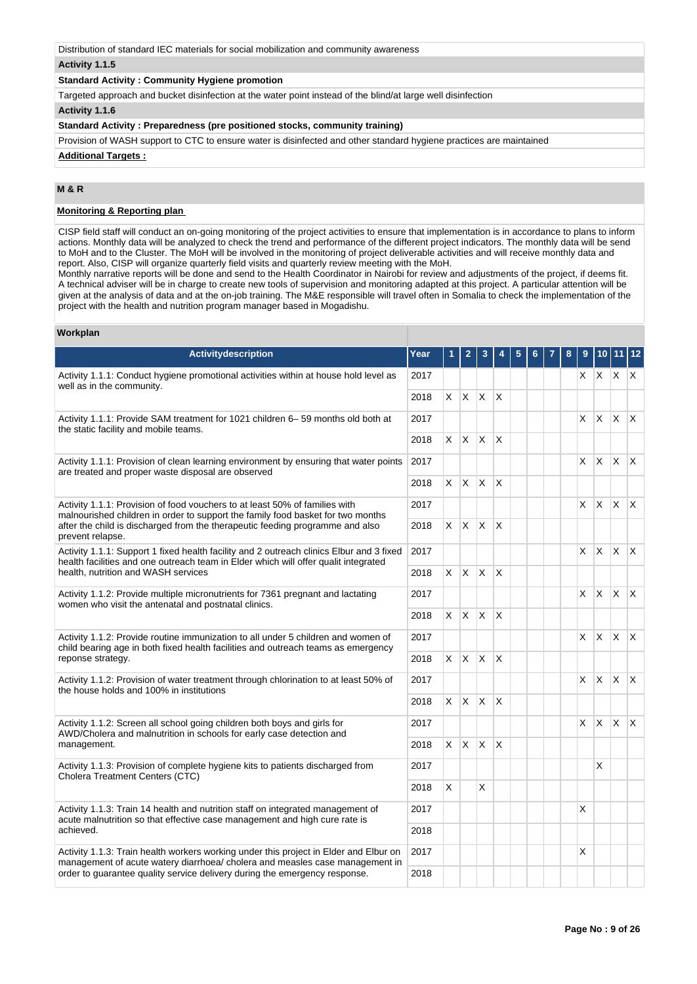Distribution of standard IEC materials for social mobilization and community awareness

# **Activity 1.1.5**

# **Standard Activity : Community Hygiene promotion**

Targeted approach and bucket disinfection at the water point instead of the blind/at large well disinfection

# **Activity 1.1.6**

## **Standard Activity : Preparedness (pre positioned stocks, community training)**

Provision of WASH support to CTC to ensure water is disinfected and other standard hygiene practices are maintained

#### **Additional Targets :**

# **M & R**

# **Monitoring & Reporting plan**

CISP field staff will conduct an on-going monitoring of the project activities to ensure that implementation is in accordance to plans to inform actions. Monthly data will be analyzed to check the trend and performance of the different project indicators. The monthly data will be send to MoH and to the Cluster. The MoH will be involved in the monitoring of project deliverable activities and will receive monthly data and report. Also, CISP will organize quarterly field visits and quarterly review meeting with the MoH.

Monthly narrative reports will be done and send to the Health Coordinator in Nairobi for review and adjustments of the project, if deems fit. A technical adviser will be in charge to create new tools of supervision and monitoring adapted at this project. A particular attention will be given at the analysis of data and at the on-job training. The M&E responsible will travel often in Somalia to check the implementation of the project with the health and nutrition program manager based in Mogadishu.

#### **Workplan**

| Activitydescription                                                                                                                                                             | Year | 1        | 2            | 3            | 4                       |  | 8 | 9  | 10 <sup>1</sup> | 11 12                    |                         |
|---------------------------------------------------------------------------------------------------------------------------------------------------------------------------------|------|----------|--------------|--------------|-------------------------|--|---|----|-----------------|--------------------------|-------------------------|
| Activity 1.1.1: Conduct hygiene promotional activities within at house hold level as<br>well as in the community.                                                               | 2017 |          |              |              |                         |  |   |    |                 | $X$ $X$ $X$ $X$          |                         |
|                                                                                                                                                                                 | 2018 | X.       | X.           | $\mathsf{X}$ | $\mathsf{I} \mathsf{X}$ |  |   |    |                 |                          |                         |
| Activity 1.1.1: Provide SAM treatment for 1021 children 6–59 months old both at<br>the static facility and mobile teams.                                                        | 2017 |          |              |              |                         |  |   | X. | X.              | ΙX.                      | $\mathsf{X}$            |
|                                                                                                                                                                                 | 2018 | X.       | ΙX.          | $\mathsf{X}$ | $\mathsf{X}$            |  |   |    |                 |                          |                         |
| Activity 1.1.1: Provision of clean learning environment by ensuring that water points<br>are treated and proper waste disposal are observed                                     | 2017 |          |              |              |                         |  |   | X. | $\times$        | ΙX.                      | $\mathsf{X}$            |
|                                                                                                                                                                                 | 2018 | $\times$ | <b>X</b>     | $\mathsf{X}$ | $\mathsf{X}$            |  |   |    |                 |                          |                         |
| Activity 1.1.1: Provision of food vouchers to at least 50% of families with<br>malnourished children in order to support the family food basket for two months                  | 2017 |          |              |              |                         |  |   | X. | $\times$        | X.                       | $\mathsf{X}$            |
| after the child is discharged from the therapeutic feeding programme and also<br>prevent relapse.                                                                               | 2018 | X.       | $x \mid x$   |              | $\mathsf{X}$            |  |   |    |                 |                          |                         |
| Activity 1.1.1: Support 1 fixed health facility and 2 outreach clinics Elbur and 3 fixed<br>health facilities and one outreach team in Elder which will offer qualit integrated | 2017 |          |              |              |                         |  |   |    |                 | $x \mid x \mid x \mid x$ |                         |
| health, nutrition and WASH services                                                                                                                                             | 2018 | X.       |              | $X$ $X$ $X$  |                         |  |   |    |                 |                          |                         |
| Activity 1.1.2: Provide multiple micronutrients for 7361 pregnant and lactating<br>2017<br>women who visit the antenatal and postnatal clinics.                                 |      |          |              |              |                         |  |   | X. | X.              | $\mathsf{X}$             | $\mathsf{I} \mathsf{X}$ |
| 2018                                                                                                                                                                            |      |          |              | $\mathsf{X}$ | $\mathsf{X}$            |  |   |    |                 |                          |                         |
| Activity 1.1.2: Provide routine immunization to all under 5 children and women of<br>child bearing age in both fixed health facilities and outreach teams as emergency          |      |          |              |              |                         |  |   | X. | <b>X</b>        | $\mathsf{X}$             | $\mathsf{X}$            |
| reponse strategy.                                                                                                                                                               | 2018 | X.       | IX.          | $\mathsf{X}$ | $\mathsf{X}$            |  |   |    |                 |                          |                         |
| Activity 1.1.2: Provision of water treatment through chlorination to at least 50% of<br>the house holds and 100% in institutions                                                | 2017 |          |              |              |                         |  |   | X. | $\mathsf{x}$    | <sup>X</sup>             | $\mathsf{X}$            |
|                                                                                                                                                                                 | 2018 | $\times$ | ΙX.          | $\mathsf{X}$ | <sup>X</sup>            |  |   |    |                 |                          |                         |
| Activity 1.1.2: Screen all school going children both boys and girls for<br>AWD/Cholera and malnutrition in schools for early case detection and                                | 2017 |          |              |              |                         |  |   | X. | $\times$        | IX.                      | $\mathsf{X}$            |
| management.                                                                                                                                                                     | 2018 | $\times$ | $\mathsf{X}$ | $\mathsf{X}$ | $\mathsf{X}$            |  |   |    |                 |                          |                         |
| Activity 1.1.3: Provision of complete hygiene kits to patients discharged from<br>Cholera Treatment Centers (CTC)                                                               | 2017 |          |              |              |                         |  |   |    | X               |                          |                         |
|                                                                                                                                                                                 | 2018 | X        |              | X            |                         |  |   |    |                 |                          |                         |
| Activity 1.1.3: Train 14 health and nutrition staff on integrated management of<br>acute malnutrition so that effective case management and high cure rate is                   | 2017 |          |              |              |                         |  |   | X  |                 |                          |                         |
| achieved.<br>2018                                                                                                                                                               |      |          |              |              |                         |  |   |    |                 |                          |                         |
| Activity 1.1.3: Train health workers working under this project in Elder and Elbur on<br>2017<br>management of acute watery diarrhoea/ cholera and measles case management in   |      |          |              |              |                         |  |   | X  |                 |                          |                         |
| order to guarantee quality service delivery during the emergency response.                                                                                                      | 2018 |          |              |              |                         |  |   |    |                 |                          |                         |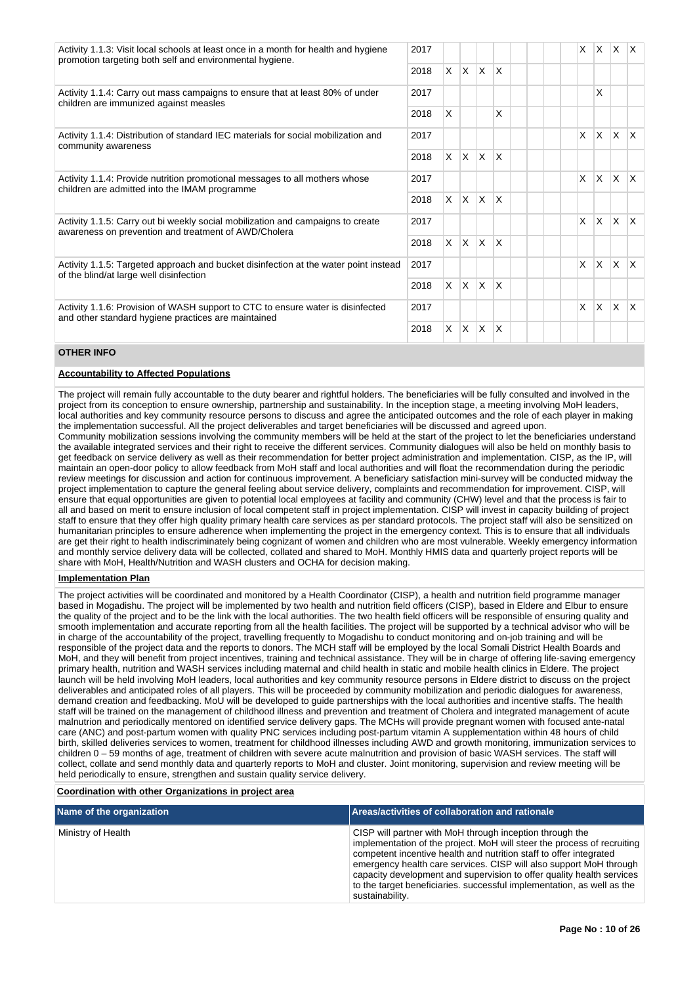| Activity 1.1.3: Visit local schools at least once in a month for health and hygiene<br>promotion targeting both self and environmental hygiene. |      |    |                   |              |                         |  | X        | IX.            | $\mathsf{X}$ | $\mathsf{X}$ |
|-------------------------------------------------------------------------------------------------------------------------------------------------|------|----|-------------------|--------------|-------------------------|--|----------|----------------|--------------|--------------|
|                                                                                                                                                 | 2018 | X. | $\mathsf{X}$      | IX.          | $\mathsf{X}$            |  |          |                |              |              |
| Activity 1.1.4: Carry out mass campaigns to ensure that at least 80% of under<br>children are immunized against measles                         |      |    |                   |              |                         |  |          | X              |              |              |
|                                                                                                                                                 | 2018 | X  |                   |              | X                       |  |          |                |              |              |
| Activity 1.1.4: Distribution of standard IEC materials for social mobilization and<br>community awareness                                       |      |    |                   |              |                         |  | X        | IX.            | IX.          | $\mathsf{X}$ |
|                                                                                                                                                 | 2018 |    | $x \mid x \mid x$ |              | $\mathsf{I}\mathsf{X}$  |  |          |                |              |              |
| Activity 1.1.4: Provide nutrition promotional messages to all mothers whose                                                                     |      |    |                   |              |                         |  | X        | $\overline{X}$ | IX.          | $\mathsf{X}$ |
| children are admitted into the IMAM programme                                                                                                   |      |    | $X$ $X$           | $\mathsf{X}$ | $\mathsf{I}\mathsf{X}$  |  |          |                |              |              |
| Activity 1.1.5: Carry out bi weekly social mobilization and campaigns to create<br>awareness on prevention and treatment of AWD/Cholera         |      |    |                   |              |                         |  | $\times$ | ΙX.            | Ιx.          | $\mathsf{X}$ |
|                                                                                                                                                 | 2018 | X. | $\mathsf{X}$      | $\mathsf{X}$ | $\mathsf{X}$            |  |          |                |              |              |
| Activity 1.1.5: Targeted approach and bucket disinfection at the water point instead                                                            | 2017 |    |                   |              |                         |  | $\times$ | ΙX.            | $\mathsf{X}$ | $\mathsf{X}$ |
| of the blind/at large well disinfection                                                                                                         |      |    | $X$ $X$ $X$       |              | $\overline{\mathsf{x}}$ |  |          |                |              |              |
| Activity 1.1.6: Provision of WASH support to CTC to ensure water is disinfected<br>and other standard hygiene practices are maintained          | 2017 |    |                   |              |                         |  | $\times$ | <b>X</b>       | ΙX.          | $\mathsf{X}$ |
| 2018                                                                                                                                            |      |    | $x \mid x \mid x$ |              | $\mathsf{X}$            |  |          |                |              |              |

# **OTHER INFO**

#### **Accountability to Affected Populations**

The project will remain fully accountable to the duty bearer and rightful holders. The beneficiaries will be fully consulted and involved in the project from its conception to ensure ownership, partnership and sustainability. In the inception stage, a meeting involving MoH leaders, local authorities and key community resource persons to discuss and agree the anticipated outcomes and the role of each player in making the implementation successful. All the project deliverables and target beneficiaries will be discussed and agreed upon. Community mobilization sessions involving the community members will be held at the start of the project to let the beneficiaries understand the available integrated services and their right to receive the different services. Community dialogues will also be held on monthly basis to get feedback on service delivery as well as their recommendation for better project administration and implementation. CISP, as the IP, will maintain an open-door policy to allow feedback from MoH staff and local authorities and will float the recommendation during the periodic review meetings for discussion and action for continuous improvement. A beneficiary satisfaction mini-survey will be conducted midway the project implementation to capture the general feeling about service delivery, complaints and recommendation for improvement. CISP, will ensure that equal opportunities are given to potential local employees at facility and community (CHW) level and that the process is fair to all and based on merit to ensure inclusion of local competent staff in project implementation. CISP will invest in capacity building of project staff to ensure that they offer high quality primary health care services as per standard protocols. The project staff will also be sensitized on humanitarian principles to ensure adherence when implementing the project in the emergency context. This is to ensure that all individuals are get their right to health indiscriminately being cognizant of women and children who are most vulnerable. Weekly emergency information and monthly service delivery data will be collected, collated and shared to MoH. Monthly HMIS data and quarterly project reports will be share with MoH, Health/Nutrition and WASH clusters and OCHA for decision making.

## **Implementation Plan**

The project activities will be coordinated and monitored by a Health Coordinator (CISP), a health and nutrition field programme manager based in Mogadishu. The project will be implemented by two health and nutrition field officers (CISP), based in Eldere and Elbur to ensure the quality of the project and to be the link with the local authorities. The two health field officers will be responsible of ensuring quality and smooth implementation and accurate reporting from all the health facilities. The project will be supported by a technical advisor who will be in charge of the accountability of the project, travelling frequently to Mogadishu to conduct monitoring and on-job training and will be responsible of the project data and the reports to donors. The MCH staff will be employed by the local Somali District Health Boards and MoH, and they will benefit from project incentives, training and technical assistance. They will be in charge of offering life-saving emergency primary health, nutrition and WASH services including maternal and child health in static and mobile health clinics in Eldere. The project launch will be held involving MoH leaders, local authorities and key community resource persons in Eldere district to discuss on the project deliverables and anticipated roles of all players. This will be proceeded by community mobilization and periodic dialogues for awareness, demand creation and feedbacking. MoU will be developed to guide partnerships with the local authorities and incentive staffs. The health staff will be trained on the management of childhood illness and prevention and treatment of Cholera and integrated management of acute malnutrion and periodically mentored on identified service delivery gaps. The MCHs will provide pregnant women with focused ante-natal care (ANC) and post-partum women with quality PNC services including post-partum vitamin A supplementation within 48 hours of child birth, skilled deliveries services to women, treatment for childhood illnesses including AWD and growth monitoring, immunization services to children 0 – 59 months of age, treatment of children with severe acute malnutrition and provision of basic WASH services. The staff will collect, collate and send monthly data and quarterly reports to MoH and cluster. Joint monitoring, supervision and review meeting will be held periodically to ensure, strengthen and sustain quality service delivery.

## **Coordination with other Organizations in project area**

| Name of the organization | Areas/activities of collaboration and rationale                                                                                                                                                                                                                                                                                                                                                                                                       |
|--------------------------|-------------------------------------------------------------------------------------------------------------------------------------------------------------------------------------------------------------------------------------------------------------------------------------------------------------------------------------------------------------------------------------------------------------------------------------------------------|
| Ministry of Health       | CISP will partner with MoH through inception through the<br>implementation of the project. MoH will steer the process of recruiting<br>competent incentive health and nutrition staff to offer integrated<br>emergency health care services. CISP will also support MoH through<br>capacity development and supervision to offer quality health services<br>to the target beneficiaries, successful implementation, as well as the<br>sustainability. |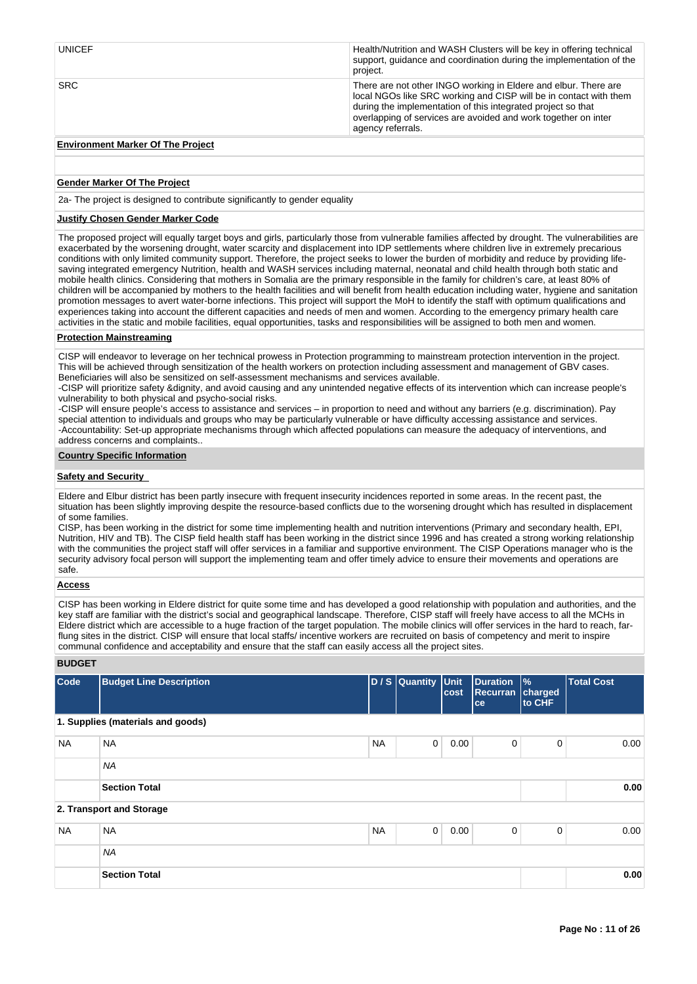| <b>UNICEF</b> | Health/Nutrition and WASH Clusters will be key in offering technical<br>support, quidance and coordination during the implementation of the<br>project.                                                                                                                                     |
|---------------|---------------------------------------------------------------------------------------------------------------------------------------------------------------------------------------------------------------------------------------------------------------------------------------------|
| <b>SRC</b>    | There are not other INGO working in Eldere and elbur. There are<br>local NGOs like SRC working and CISP will be in contact with them<br>during the implementation of this integrated project so that<br>overlapping of services are avoided and work together on inter<br>agency referrals. |
|               |                                                                                                                                                                                                                                                                                             |

# **Environment Marker Of The Project**

## **Gender Marker Of The Project**

2a- The project is designed to contribute significantly to gender equality

## **Justify Chosen Gender Marker Code**

The proposed project will equally target boys and girls, particularly those from vulnerable families affected by drought. The vulnerabilities are exacerbated by the worsening drought, water scarcity and displacement into IDP settlements where children live in extremely precarious conditions with only limited community support. Therefore, the project seeks to lower the burden of morbidity and reduce by providing lifesaving integrated emergency Nutrition, health and WASH services including maternal, neonatal and child health through both static and mobile health clinics. Considering that mothers in Somalia are the primary responsible in the family for children's care, at least 80% of children will be accompanied by mothers to the health facilities and will benefit from health education including water, hygiene and sanitation promotion messages to avert water-borne infections. This project will support the MoH to identify the staff with optimum qualifications and experiences taking into account the different capacities and needs of men and women. According to the emergency primary health care activities in the static and mobile facilities, equal opportunities, tasks and responsibilities will be assigned to both men and women.

# **Protection Mainstreaming**

CISP will endeavor to leverage on her technical prowess in Protection programming to mainstream protection intervention in the project. This will be achieved through sensitization of the health workers on protection including assessment and management of GBV cases. Beneficiaries will also be sensitized on self-assessment mechanisms and services available.

-CISP will prioritize safety &dignity, and avoid causing and any unintended negative effects of its intervention which can increase people's vulnerability to both physical and psycho-social risks.

-CISP will ensure people's access to assistance and services – in proportion to need and without any barriers (e.g. discrimination). Pay special attention to individuals and groups who may be particularly vulnerable or have difficulty accessing assistance and services. -Accountability: Set-up appropriate mechanisms through which affected populations can measure the adequacy of interventions, and address concerns and complaints..

#### **Country Specific Information**

## **Safety and Security**

Eldere and Elbur district has been partly insecure with frequent insecurity incidences reported in some areas. In the recent past, the situation has been slightly improving despite the resource-based conflicts due to the worsening drought which has resulted in displacement of some families.

CISP, has been working in the district for some time implementing health and nutrition interventions (Primary and secondary health, EPI, Nutrition, HIV and TB). The CISP field health staff has been working in the district since 1996 and has created a strong working relationship with the communities the project staff will offer services in a familiar and supportive environment. The CISP Operations manager who is the security advisory focal person will support the implementing team and offer timely advice to ensure their movements and operations are safe.

# **Access**

CISP has been working in Eldere district for quite some time and has developed a good relationship with population and authorities, and the key staff are familiar with the district's social and geographical landscape. Therefore, CISP staff will freely have access to all the MCHs in Eldere district which are accessible to a huge fraction of the target population. The mobile clinics will offer services in the hard to reach, farflung sites in the district. CISP will ensure that local staffs/ incentive workers are recruited on basis of competency and merit to inspire communal confidence and acceptability and ensure that the staff can easily access all the project sites.

# **BUDGET**

| Code      | <b>Budget Line Description</b>    |           | D / S Quantity Unit | cost | <b>Duration</b><br><b>Recurran</b><br>ce | $\frac{9}{6}$<br>charged<br>to CHF | <b>Total Cost</b> |
|-----------|-----------------------------------|-----------|---------------------|------|------------------------------------------|------------------------------------|-------------------|
|           | 1. Supplies (materials and goods) |           |                     |      |                                          |                                    |                   |
| <b>NA</b> | <b>NA</b>                         | <b>NA</b> | $\mathbf 0$         | 0.00 | 0                                        | $\mathbf 0$                        | 0.00              |
|           | <b>NA</b>                         |           |                     |      |                                          |                                    |                   |
|           | <b>Section Total</b>              |           |                     |      |                                          |                                    | 0.00              |
|           | 2. Transport and Storage          |           |                     |      |                                          |                                    |                   |
| <b>NA</b> | <b>NA</b>                         | <b>NA</b> | $\mathbf 0$         | 0.00 | 0                                        | $\mathbf 0$                        | 0.00              |
|           | <b>NA</b>                         |           |                     |      |                                          |                                    |                   |
|           | <b>Section Total</b>              |           |                     |      |                                          |                                    | 0.00              |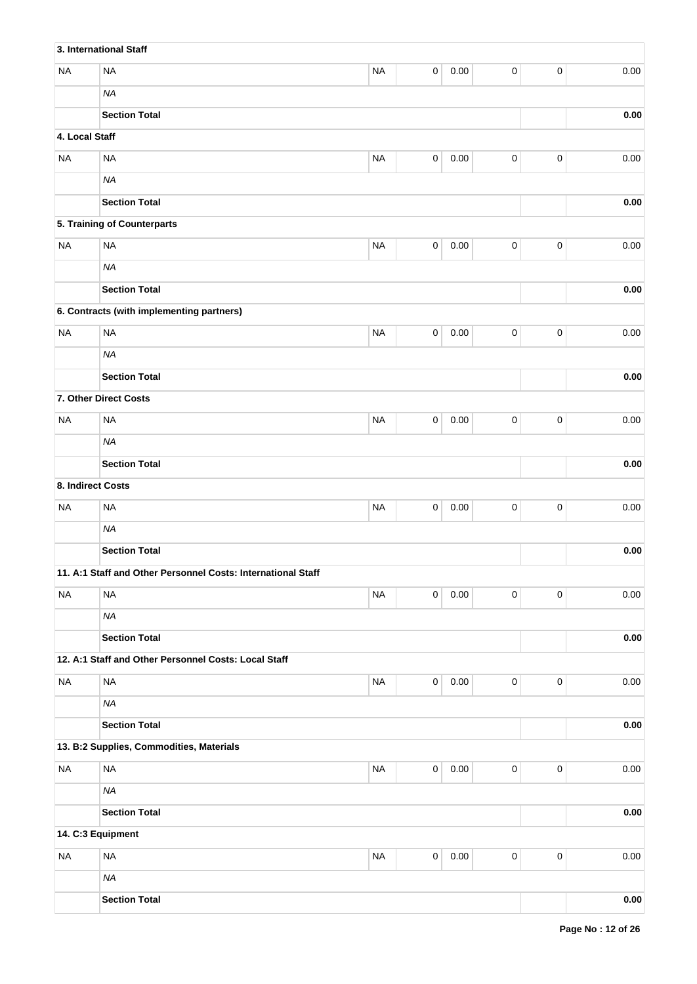|                   | 3. International Staff                                       |           |             |          |             |           |            |
|-------------------|--------------------------------------------------------------|-----------|-------------|----------|-------------|-----------|------------|
| <b>NA</b>         | <b>NA</b>                                                    | <b>NA</b> | 0           | 0.00     | 0           | $\pmb{0}$ | 0.00       |
|                   | <b>NA</b>                                                    |           |             |          |             |           |            |
|                   | <b>Section Total</b>                                         |           |             |          |             |           | 0.00       |
| 4. Local Staff    |                                                              |           |             |          |             |           |            |
| <b>NA</b>         | <b>NA</b>                                                    | <b>NA</b> | 0           | 0.00     | 0           | $\pmb{0}$ | 0.00       |
|                   | <b>NA</b>                                                    |           |             |          |             |           |            |
|                   | <b>Section Total</b>                                         |           |             |          |             |           | 0.00       |
|                   | 5. Training of Counterparts                                  |           |             |          |             |           |            |
| <b>NA</b>         | <b>NA</b>                                                    | <b>NA</b> | $\mathbf 0$ | 0.00     | 0           | $\pmb{0}$ | 0.00       |
|                   | <b>NA</b>                                                    |           |             |          |             |           |            |
|                   | <b>Section Total</b>                                         |           |             |          |             |           | $0.00\,$   |
|                   | 6. Contracts (with implementing partners)                    |           |             |          |             |           |            |
| <b>NA</b>         | <b>NA</b>                                                    | <b>NA</b> | $\mathbf 0$ | 0.00     | 0           | $\pmb{0}$ | 0.00       |
|                   | <b>NA</b>                                                    |           |             |          |             |           |            |
|                   | <b>Section Total</b>                                         |           |             |          |             |           | $0.00\,$   |
|                   | 7. Other Direct Costs                                        |           |             |          |             |           |            |
| <b>NA</b>         | <b>NA</b>                                                    | <b>NA</b> | 0           | 0.00     | 0           | $\pmb{0}$ | 0.00       |
|                   | <b>NA</b>                                                    |           |             |          |             |           |            |
|                   |                                                              | 0.00      |             |          |             |           |            |
| 8. Indirect Costs |                                                              |           |             |          |             |           |            |
| <b>NA</b>         | <b>NA</b>                                                    | <b>NA</b> | $\mathbf 0$ | 0.00     | $\mathsf 0$ | $\pmb{0}$ | 0.00       |
|                   | <b>NA</b>                                                    |           |             |          |             |           |            |
|                   | <b>Section Total</b>                                         |           |             |          |             |           | 0.00       |
|                   | 11. A:1 Staff and Other Personnel Costs: International Staff |           |             |          |             |           |            |
| <b>NA</b>         | <b>NA</b>                                                    | <b>NA</b> | $\mathbf 0$ | 0.00     | 0           | $\pmb{0}$ | 0.00       |
|                   | <b>NA</b>                                                    |           |             |          |             |           |            |
|                   | <b>Section Total</b>                                         |           |             |          |             |           | 0.00       |
|                   | 12. A:1 Staff and Other Personnel Costs: Local Staff         |           |             |          |             |           |            |
| <b>NA</b>         | <b>NA</b>                                                    | <b>NA</b> | $\pmb{0}$   | $0.00\,$ | $\mathsf 0$ | $\pmb{0}$ | 0.00       |
|                   | <b>NA</b>                                                    |           |             |          |             |           |            |
|                   | <b>Section Total</b>                                         |           |             |          |             |           | $0.00\,$   |
|                   | 13. B:2 Supplies, Commodities, Materials                     |           |             |          |             |           |            |
| <b>NA</b>         | <b>NA</b>                                                    | <b>NA</b> | $\pmb{0}$   | $0.00\,$ | $\mathsf 0$ | $\pmb{0}$ | 0.00       |
|                   | <b>NA</b>                                                    |           |             |          |             |           |            |
|                   | <b>Section Total</b>                                         |           |             |          |             |           | $0.00\,$   |
|                   | 14. C:3 Equipment                                            |           |             |          |             |           |            |
| <b>NA</b>         | <b>NA</b>                                                    | <b>NA</b> | $\mathsf 0$ | $0.00\,$ | $\mathsf 0$ | $\pmb{0}$ | 0.00       |
|                   | <b>NA</b>                                                    |           |             |          |             |           |            |
|                   | <b>Section Total</b>                                         |           |             |          |             |           | $\bf 0.00$ |
|                   |                                                              |           |             |          |             |           |            |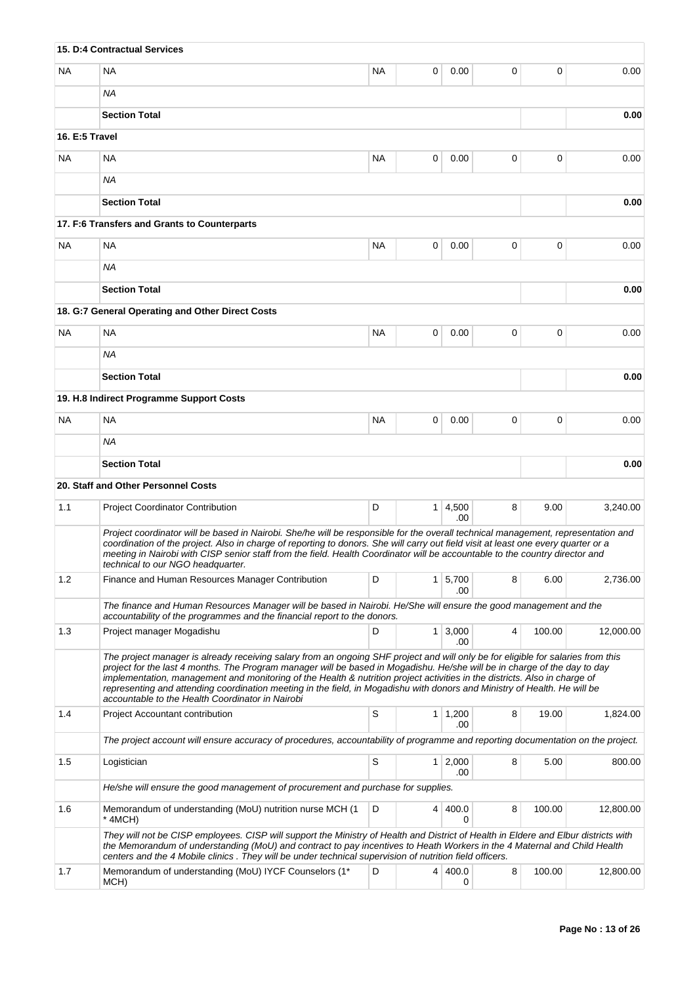|                | 15. D:4 Contractual Services                                                                                                                                                                                                                                                                                                                                                                                                             |           |                |                       |   |        |           |
|----------------|------------------------------------------------------------------------------------------------------------------------------------------------------------------------------------------------------------------------------------------------------------------------------------------------------------------------------------------------------------------------------------------------------------------------------------------|-----------|----------------|-----------------------|---|--------|-----------|
| <b>NA</b>      | <b>NA</b>                                                                                                                                                                                                                                                                                                                                                                                                                                | <b>NA</b> | 0              | 0.00                  | 0 | 0      | 0.00      |
|                | <b>NA</b>                                                                                                                                                                                                                                                                                                                                                                                                                                |           |                |                       |   |        |           |
|                | <b>Section Total</b>                                                                                                                                                                                                                                                                                                                                                                                                                     |           |                |                       |   |        | 0.00      |
| 16. E:5 Travel |                                                                                                                                                                                                                                                                                                                                                                                                                                          |           |                |                       |   |        |           |
| <b>NA</b>      | NA                                                                                                                                                                                                                                                                                                                                                                                                                                       | <b>NA</b> | 0              | 0.00                  | 0 | 0      | 0.00      |
|                | <b>NA</b>                                                                                                                                                                                                                                                                                                                                                                                                                                |           |                |                       |   |        |           |
|                | <b>Section Total</b>                                                                                                                                                                                                                                                                                                                                                                                                                     |           |                |                       |   |        | 0.00      |
|                | 17. F:6 Transfers and Grants to Counterparts                                                                                                                                                                                                                                                                                                                                                                                             |           |                |                       |   |        |           |
| <b>NA</b>      | <b>NA</b>                                                                                                                                                                                                                                                                                                                                                                                                                                | <b>NA</b> | 0              | 0.00                  | 0 | 0      | 0.00      |
|                | ΝA                                                                                                                                                                                                                                                                                                                                                                                                                                       |           |                |                       |   |        |           |
|                | <b>Section Total</b>                                                                                                                                                                                                                                                                                                                                                                                                                     |           |                |                       |   |        | 0.00      |
|                | 18. G:7 General Operating and Other Direct Costs                                                                                                                                                                                                                                                                                                                                                                                         |           |                |                       |   |        |           |
| <b>NA</b>      | <b>NA</b>                                                                                                                                                                                                                                                                                                                                                                                                                                | <b>NA</b> | 0              | 0.00                  | 0 | 0      | 0.00      |
|                | ΝA                                                                                                                                                                                                                                                                                                                                                                                                                                       |           |                |                       |   |        |           |
|                | <b>Section Total</b>                                                                                                                                                                                                                                                                                                                                                                                                                     |           |                |                       |   |        | 0.00      |
|                | 19. H.8 Indirect Programme Support Costs                                                                                                                                                                                                                                                                                                                                                                                                 |           |                |                       |   |        |           |
| <b>NA</b>      | <b>NA</b>                                                                                                                                                                                                                                                                                                                                                                                                                                | <b>NA</b> | 0              | 0.00                  | 0 | 0      | 0.00      |
|                | <b>NA</b>                                                                                                                                                                                                                                                                                                                                                                                                                                |           |                |                       |   |        |           |
|                | <b>Section Total</b>                                                                                                                                                                                                                                                                                                                                                                                                                     |           |                |                       |   |        | 0.00      |
|                | 20. Staff and Other Personnel Costs                                                                                                                                                                                                                                                                                                                                                                                                      |           |                |                       |   |        |           |
| 1.1            | <b>Project Coordinator Contribution</b>                                                                                                                                                                                                                                                                                                                                                                                                  | D         |                | $1 \mid 4,500$        | 8 | 9.00   | 3,240.00  |
|                | Project coordinator will be based in Nairobi. She/he will be responsible for the overall technical management, representation and                                                                                                                                                                                                                                                                                                        |           |                | .00                   |   |        |           |
|                | coordination of the project. Also in charge of reporting to donors. She will carry out field visit at least one every quarter or a<br>meeting in Nairobi with CISP senior staff from the field. Health Coordinator will be accountable to the country director and<br>technical to our NGO headquarter.                                                                                                                                  |           |                |                       |   |        |           |
| 1.2            | Finance and Human Resources Manager Contribution                                                                                                                                                                                                                                                                                                                                                                                         | D         | 1 <sup>1</sup> | 5,700<br>.00          | 8 | 6.00   | 2,736.00  |
|                | The finance and Human Resources Manager will be based in Nairobi. He/She will ensure the good management and the<br>accountability of the programmes and the financial report to the donors.                                                                                                                                                                                                                                             |           |                |                       |   |        |           |
| 1.3            | Project manager Mogadishu                                                                                                                                                                                                                                                                                                                                                                                                                | D         |                | $1 \, 3,000$          | 4 | 100.00 | 12,000.00 |
|                | The project manager is already receiving salary from an ongoing SHF project and will only be for eligible for salaries from this                                                                                                                                                                                                                                                                                                         |           |                | .00                   |   |        |           |
|                | project for the last 4 months. The Program manager will be based in Mogadishu. He/she will be in charge of the day to day<br>implementation, management and monitoring of the Health & nutrition project activities in the districts. Also in charge of<br>representing and attending coordination meeting in the field, in Mogadishu with donors and Ministry of Health. He will be<br>accountable to the Health Coordinator in Nairobi |           |                |                       |   |        |           |
| 1.4            | <b>Project Accountant contribution</b>                                                                                                                                                                                                                                                                                                                                                                                                   | S         |                | $1 \mid 1,200$<br>.00 | 8 | 19.00  | 1,824.00  |
|                | The project account will ensure accuracy of procedures, accountability of programme and reporting documentation on the project.                                                                                                                                                                                                                                                                                                          |           |                |                       |   |        |           |
| 1.5            | Logistician                                                                                                                                                                                                                                                                                                                                                                                                                              | S         | 1 <sup>1</sup> | 2,000                 | 8 | 5.00   | 800.00    |
|                | He/she will ensure the good management of procurement and purchase for supplies.                                                                                                                                                                                                                                                                                                                                                         |           |                | .00                   |   |        |           |
| 1.6            | Memorandum of understanding (MoU) nutrition nurse MCH (1<br>* 4MCH)                                                                                                                                                                                                                                                                                                                                                                      | D         | 4              | 400.0<br>0            | 8 | 100.00 | 12,800.00 |
|                | They will not be CISP employees. CISP will support the Ministry of Health and District of Health in Eldere and Elbur districts with<br>the Memorandum of understanding (MoU) and contract to pay incentives to Heath Workers in the 4 Maternal and Child Health<br>centers and the 4 Mobile clinics. They will be under technical supervision of nutrition field officers.                                                               |           |                |                       |   |        |           |
| 1.7            | Memorandum of understanding (MoU) IYCF Counselors (1*<br>MCH)                                                                                                                                                                                                                                                                                                                                                                            | D         |                | 4   400.0<br>0        | 8 | 100.00 | 12,800.00 |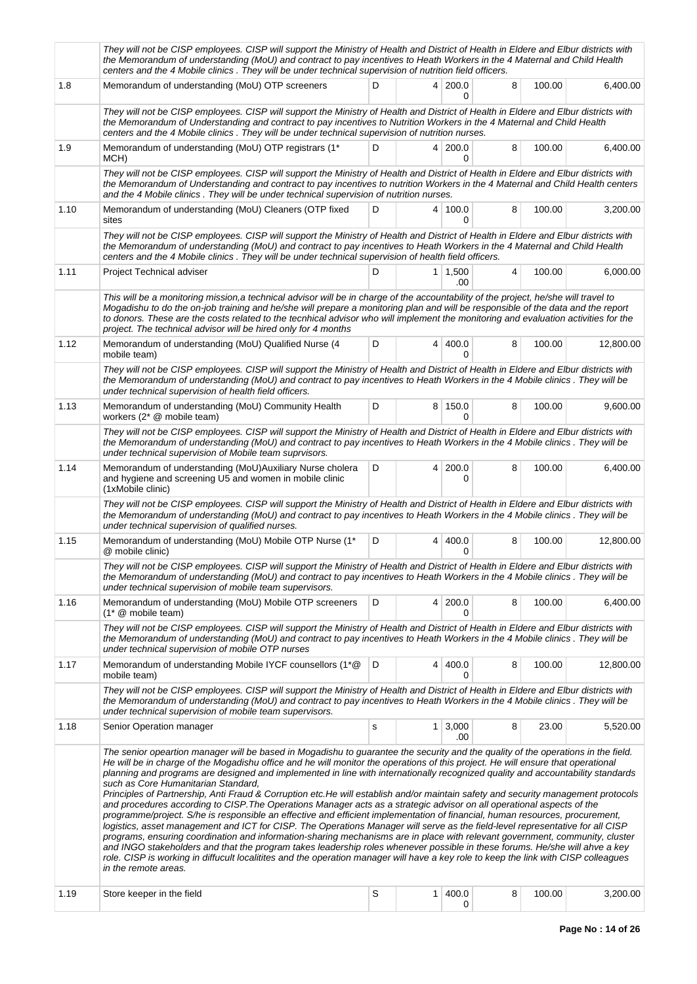|      | They will not be CISP employees. CISP will support the Ministry of Health and District of Health in Eldere and Elbur districts with<br>the Memorandum of understanding (MoU) and contract to pay incentives to Heath Workers in the 4 Maternal and Child Health<br>centers and the 4 Mobile clinics. They will be under technical supervision of nutrition field officers.                                                                                                                                                                                                                                                                                                                                                                                                                                                                                                                                                                                                                                                                                                                                                                                                                                                                                                                                                                                                                                     |   |                |                         |   |        |           |  |  |  |
|------|----------------------------------------------------------------------------------------------------------------------------------------------------------------------------------------------------------------------------------------------------------------------------------------------------------------------------------------------------------------------------------------------------------------------------------------------------------------------------------------------------------------------------------------------------------------------------------------------------------------------------------------------------------------------------------------------------------------------------------------------------------------------------------------------------------------------------------------------------------------------------------------------------------------------------------------------------------------------------------------------------------------------------------------------------------------------------------------------------------------------------------------------------------------------------------------------------------------------------------------------------------------------------------------------------------------------------------------------------------------------------------------------------------------|---|----------------|-------------------------|---|--------|-----------|--|--|--|
| 1.8  | Memorandum of understanding (MoU) OTP screeners                                                                                                                                                                                                                                                                                                                                                                                                                                                                                                                                                                                                                                                                                                                                                                                                                                                                                                                                                                                                                                                                                                                                                                                                                                                                                                                                                                | D |                | 4 200.0<br><sup>0</sup> | 8 | 100.00 | 6,400.00  |  |  |  |
|      | They will not be CISP employees. CISP will support the Ministry of Health and District of Health in Eldere and Elbur districts with<br>the Memorandum of Understanding and contract to pay incentives to Nutrition Workers in the 4 Maternal and Child Health<br>centers and the 4 Mobile clinics . They will be under technical supervision of nutrition nurses.                                                                                                                                                                                                                                                                                                                                                                                                                                                                                                                                                                                                                                                                                                                                                                                                                                                                                                                                                                                                                                              |   |                |                         |   |        |           |  |  |  |
| 1.9  | Memorandum of understanding (MoU) OTP registrars (1*<br>MCH)                                                                                                                                                                                                                                                                                                                                                                                                                                                                                                                                                                                                                                                                                                                                                                                                                                                                                                                                                                                                                                                                                                                                                                                                                                                                                                                                                   | D |                | 4 200.0<br>0            | 8 | 100.00 | 6,400.00  |  |  |  |
|      | They will not be CISP employees. CISP will support the Ministry of Health and District of Health in Eldere and Elbur districts with<br>the Memorandum of Understanding and contract to pay incentives to nutrition Workers in the 4 Maternal and Child Health centers<br>and the 4 Mobile clinics. They will be under technical supervision of nutrition nurses.                                                                                                                                                                                                                                                                                                                                                                                                                                                                                                                                                                                                                                                                                                                                                                                                                                                                                                                                                                                                                                               |   |                |                         |   |        |           |  |  |  |
| 1.10 | Memorandum of understanding (MoU) Cleaners (OTP fixed<br>sites                                                                                                                                                                                                                                                                                                                                                                                                                                                                                                                                                                                                                                                                                                                                                                                                                                                                                                                                                                                                                                                                                                                                                                                                                                                                                                                                                 | D |                | 4   100.0<br>U          | 8 | 100.00 | 3,200.00  |  |  |  |
|      | They will not be CISP employees. CISP will support the Ministry of Health and District of Health in Eldere and Elbur districts with<br>the Memorandum of understanding (MoU) and contract to pay incentives to Heath Workers in the 4 Maternal and Child Health<br>centers and the 4 Mobile clinics. They will be under technical supervision of health field officers.                                                                                                                                                                                                                                                                                                                                                                                                                                                                                                                                                                                                                                                                                                                                                                                                                                                                                                                                                                                                                                        |   |                |                         |   |        |           |  |  |  |
| 1.11 | Project Technical adviser                                                                                                                                                                                                                                                                                                                                                                                                                                                                                                                                                                                                                                                                                                                                                                                                                                                                                                                                                                                                                                                                                                                                                                                                                                                                                                                                                                                      | D |                | $1 \mid 1,500$<br>.00   | 4 | 100.00 | 6,000.00  |  |  |  |
|      | This will be a monitoring mission, a technical advisor will be in charge of the accountability of the project, he/she will travel to<br>Mogadishu to do the on-job training and he/she will prepare a monitoring plan and will be responsible of the data and the report<br>to donors. These are the costs related to the tecnhical advisor who will implement the monitoring and evaluation activities for the<br>project. The technical advisor will be hired only for 4 months                                                                                                                                                                                                                                                                                                                                                                                                                                                                                                                                                                                                                                                                                                                                                                                                                                                                                                                              |   |                |                         |   |        |           |  |  |  |
| 1.12 | Memorandum of understanding (MoU) Qualified Nurse (4<br>mobile team)                                                                                                                                                                                                                                                                                                                                                                                                                                                                                                                                                                                                                                                                                                                                                                                                                                                                                                                                                                                                                                                                                                                                                                                                                                                                                                                                           | D |                | 4 400.0<br>0            | 8 | 100.00 | 12,800.00 |  |  |  |
|      | They will not be CISP employees. CISP will support the Ministry of Health and District of Health in Eldere and Elbur districts with<br>the Memorandum of understanding (MoU) and contract to pay incentives to Heath Workers in the 4 Mobile clinics. They will be<br>under technical supervision of health field officers.                                                                                                                                                                                                                                                                                                                                                                                                                                                                                                                                                                                                                                                                                                                                                                                                                                                                                                                                                                                                                                                                                    |   |                |                         |   |        |           |  |  |  |
| 1.13 | Memorandum of understanding (MoU) Community Health<br>workers (2* @ mobile team)                                                                                                                                                                                                                                                                                                                                                                                                                                                                                                                                                                                                                                                                                                                                                                                                                                                                                                                                                                                                                                                                                                                                                                                                                                                                                                                               | D |                | 8 150.0<br><sup>0</sup> | 8 | 100.00 | 9,600.00  |  |  |  |
|      | They will not be CISP employees. CISP will support the Ministry of Health and District of Health in Eldere and Elbur districts with<br>the Memorandum of understanding (MoU) and contract to pay incentives to Heath Workers in the 4 Mobile clinics. They will be<br>under technical supervision of Mobile team suprvisors.                                                                                                                                                                                                                                                                                                                                                                                                                                                                                                                                                                                                                                                                                                                                                                                                                                                                                                                                                                                                                                                                                   |   |                |                         |   |        |           |  |  |  |
| 1.14 | Memorandum of understanding (MoU) Auxiliary Nurse cholera<br>and hygiene and screening U5 and women in mobile clinic<br>(1xMobile clinic)                                                                                                                                                                                                                                                                                                                                                                                                                                                                                                                                                                                                                                                                                                                                                                                                                                                                                                                                                                                                                                                                                                                                                                                                                                                                      | D | 4 <sup>1</sup> | 200.0<br>0              | 8 | 100.00 | 6,400.00  |  |  |  |
|      | They will not be CISP employees. CISP will support the Ministry of Health and District of Health in Eldere and Elbur districts with<br>the Memorandum of understanding (MoU) and contract to pay incentives to Heath Workers in the 4 Mobile clinics. They will be<br>under technical supervision of qualified nurses.                                                                                                                                                                                                                                                                                                                                                                                                                                                                                                                                                                                                                                                                                                                                                                                                                                                                                                                                                                                                                                                                                         |   |                |                         |   |        |           |  |  |  |
| 1.15 | Memorandum of understanding (MoU) Mobile OTP Nurse (1*<br>@ mobile clinic)                                                                                                                                                                                                                                                                                                                                                                                                                                                                                                                                                                                                                                                                                                                                                                                                                                                                                                                                                                                                                                                                                                                                                                                                                                                                                                                                     | D |                | 4   400.0<br>0          | 8 | 100.00 | 12,800.00 |  |  |  |
|      | They will not be CISP employees. CISP will support the Ministry of Health and District of Health in Eldere and Elbur districts with<br>the Memorandum of understanding (MoU) and contract to pay incentives to Heath Workers in the 4 Mobile clinics. They will be<br>under technical supervision of mobile team supervisors.                                                                                                                                                                                                                                                                                                                                                                                                                                                                                                                                                                                                                                                                                                                                                                                                                                                                                                                                                                                                                                                                                  |   |                |                         |   |        |           |  |  |  |
| 1.16 | Memorandum of understanding (MoU) Mobile OTP screeners                                                                                                                                                                                                                                                                                                                                                                                                                                                                                                                                                                                                                                                                                                                                                                                                                                                                                                                                                                                                                                                                                                                                                                                                                                                                                                                                                         | D |                | 4 200.0<br>0            | 8 | 100.00 | 6,400.00  |  |  |  |
|      | They will not be CISP employees. CISP will support the Ministry of Health and District of Health in Eldere and Elbur districts with<br>the Memorandum of understanding (MoU) and contract to pay incentives to Heath Workers in the 4 Mobile clinics. They will be<br>under technical supervision of mobile OTP nurses                                                                                                                                                                                                                                                                                                                                                                                                                                                                                                                                                                                                                                                                                                                                                                                                                                                                                                                                                                                                                                                                                         |   |                |                         |   |        |           |  |  |  |
| 1.17 | Memorandum of understanding Mobile IYCF counsellors (1*@<br>mobile team)                                                                                                                                                                                                                                                                                                                                                                                                                                                                                                                                                                                                                                                                                                                                                                                                                                                                                                                                                                                                                                                                                                                                                                                                                                                                                                                                       | D | 4 <sup>1</sup> | 400.0                   | 8 | 100.00 | 12,800.00 |  |  |  |
|      | They will not be CISP employees. CISP will support the Ministry of Health and District of Health in Eldere and Elbur districts with<br>the Memorandum of understanding (MoU) and contract to pay incentives to Heath Workers in the 4 Mobile clinics. They will be<br>under technical supervision of mobile team supervisors.                                                                                                                                                                                                                                                                                                                                                                                                                                                                                                                                                                                                                                                                                                                                                                                                                                                                                                                                                                                                                                                                                  |   |                |                         |   |        |           |  |  |  |
| 1.18 | Senior Operation manager                                                                                                                                                                                                                                                                                                                                                                                                                                                                                                                                                                                                                                                                                                                                                                                                                                                                                                                                                                                                                                                                                                                                                                                                                                                                                                                                                                                       | s |                | $1 \mid 3,000$<br>.00   | 8 | 23.00  | 5,520.00  |  |  |  |
|      | The senior opeartion manager will be based in Mogadishu to guarantee the security and the quality of the operations in the field.<br>He will be in charge of the Mogadishu office and he will monitor the operations of this project. He will ensure that operational<br>planning and programs are designed and implemented in line with internationally recognized quality and accountability standards<br>such as Core Humanitarian Standard,<br>Principles of Partnership, Anti Fraud & Corruption etc.He will establish and/or maintain safety and security management protocols<br>and procedures according to CISP. The Operations Manager acts as a strategic advisor on all operational aspects of the<br>programme/project. S/he is responsible an effective and efficient implementation of financial, human resources, procurement,<br>logistics, asset management and ICT for CISP. The Operations Manager will serve as the field-level representative for all CISP<br>programs, ensuring coordination and information-sharing mechanisms are in place with relevant government, community, cluster<br>and INGO stakeholders and that the program takes leadership roles whenever possible in these forums. He/she will ahve a key<br>role. CISP is working in diffucult localitites and the operation manager will have a key role to keep the link with CISP colleagues<br>in the remote areas. |   |                |                         |   |        |           |  |  |  |
| 1.19 | Store keeper in the field                                                                                                                                                                                                                                                                                                                                                                                                                                                                                                                                                                                                                                                                                                                                                                                                                                                                                                                                                                                                                                                                                                                                                                                                                                                                                                                                                                                      | S | 1              | 400.0<br>0              | 8 | 100.00 | 3,200.00  |  |  |  |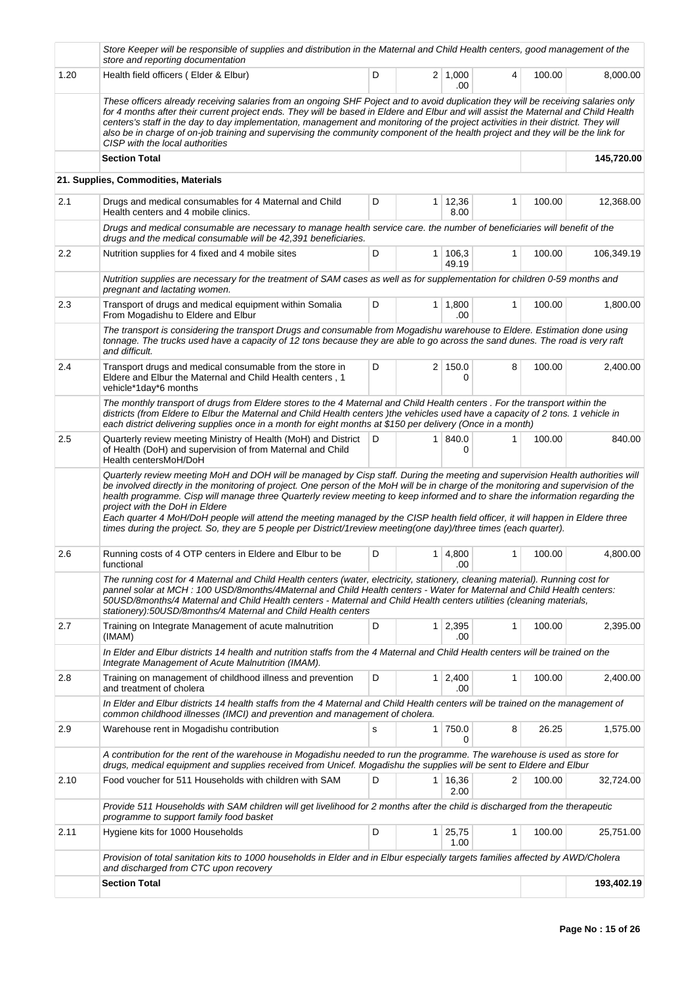|      | Store Keeper will be responsible of supplies and distribution in the Maternal and Child Health centers, good management of the<br>store and reporting documentation                                                                                                                                                                                                                                                                                                                                                                                                                    |   |                |                       |              |        |            |
|------|----------------------------------------------------------------------------------------------------------------------------------------------------------------------------------------------------------------------------------------------------------------------------------------------------------------------------------------------------------------------------------------------------------------------------------------------------------------------------------------------------------------------------------------------------------------------------------------|---|----------------|-----------------------|--------------|--------|------------|
| 1.20 | Health field officers (Elder & Elbur)                                                                                                                                                                                                                                                                                                                                                                                                                                                                                                                                                  | D |                | 2 1,000<br>.00        | 4            | 100.00 | 8,000.00   |
|      | These officers already receiving salaries from an ongoing SHF Poject and to avoid duplication they will be receiving salaries only<br>for 4 months after their current project ends. They will be based in Eldere and Elbur and will assist the Maternal and Child Health<br>centers's staff in the day to day implementation, management and monitoring of the project activities in their district. They will<br>also be in charge of on-job training and supervising the community component of the health project and they will be the link for<br>CISP with the local authorities |   |                |                       |              |        |            |
|      | <b>Section Total</b>                                                                                                                                                                                                                                                                                                                                                                                                                                                                                                                                                                   |   |                |                       |              |        | 145,720.00 |
|      | 21. Supplies, Commodities, Materials                                                                                                                                                                                                                                                                                                                                                                                                                                                                                                                                                   |   |                |                       |              |        |            |
| 2.1  | Drugs and medical consumables for 4 Maternal and Child<br>Health centers and 4 mobile clinics.                                                                                                                                                                                                                                                                                                                                                                                                                                                                                         | D | 1              | 12,36<br>8.00         | 1            | 100.00 | 12,368.00  |
|      | Drugs and medical consumable are necessary to manage health service care. the number of beneficiaries will benefit of the<br>drugs and the medical consumable will be 42,391 beneficiaries.                                                                                                                                                                                                                                                                                                                                                                                            |   |                |                       |              |        |            |
| 2.2  | Nutrition supplies for 4 fixed and 4 mobile sites                                                                                                                                                                                                                                                                                                                                                                                                                                                                                                                                      | D | 1 <sup>1</sup> | 106,3<br>49.19        | $\mathbf{1}$ | 100.00 | 106,349.19 |
|      | Nutrition supplies are necessary for the treatment of SAM cases as well as for supplementation for children 0-59 months and<br>pregnant and lactating women.                                                                                                                                                                                                                                                                                                                                                                                                                           |   |                |                       |              |        |            |
| 2.3  | Transport of drugs and medical equipment within Somalia<br>From Mogadishu to Eldere and Elbur                                                                                                                                                                                                                                                                                                                                                                                                                                                                                          | D |                | $1 \mid 1,800$<br>.00 | 1            | 100.00 | 1,800.00   |
|      | The transport is considering the transport Drugs and consumable from Mogadishu warehouse to Eldere. Estimation done using<br>tonnage. The trucks used have a capacity of 12 tons because they are able to go across the sand dunes. The road is very raft<br>and difficult.                                                                                                                                                                                                                                                                                                            |   |                |                       |              |        |            |
| 2.4  | Transport drugs and medical consumable from the store in<br>Eldere and Elbur the Maternal and Child Health centers, 1<br>vehicle*1day*6 months                                                                                                                                                                                                                                                                                                                                                                                                                                         | D |                | 2 150.0<br>0          | 8            | 100.00 | 2,400.00   |
|      | The monthly transport of drugs from Eldere stores to the 4 Maternal and Child Health centers. For the transport within the<br>districts (from Eldere to Elbur the Maternal and Child Health centers) the vehicles used have a capacity of 2 tons. 1 vehicle in<br>each district delivering supplies once in a month for eight months at \$150 per delivery (Once in a month)                                                                                                                                                                                                           |   |                |                       |              |        |            |
| 2.5  | Quarterly review meeting Ministry of Health (MoH) and District<br>of Health (DoH) and supervision of from Maternal and Child<br>Health centersMoH/DoH                                                                                                                                                                                                                                                                                                                                                                                                                                  | D | 1 <sup>1</sup> | 840.0<br>0            | 1            | 100.00 | 840.00     |
|      | be involved directly in the monitoring of project. One person of the MoH will be in charge of the monitoring and supervision of the<br>health programme. Cisp will manage three Quarterly review meeting to keep informed and to share the information regarding the<br>project with the DoH in Eldere<br>Each quarter 4 MoH/DoH people will attend the meeting managed by the CISP health field officer, it will happen in Eldere three<br>times during the project. So, they are 5 people per District/1review meeting(one day)/three times (each quarter).                          |   |                |                       |              |        |            |
| 2.6  | Running costs of 4 OTP centers in Eldere and Elbur to be<br>functional                                                                                                                                                                                                                                                                                                                                                                                                                                                                                                                 | D | 1              | 4,800<br>.00          | 1            | 100.00 | 4,800.00   |
|      | The running cost for 4 Maternal and Child Health centers (water, electricity, stationery, cleaning material). Running cost for<br>pannel solar at MCH: 100 USD/8months/4Maternal and Child Health centers - Water for Maternal and Child Health centers:<br>50USD/8months/4 Maternal and Child Health centers - Maternal and Child Health centers utilities (cleaning materials,<br>stationery):50USD/8months/4 Maternal and Child Health centers                                                                                                                                      |   |                |                       |              |        |            |
| 2.7  | Training on Integrate Management of acute malnutrition<br>(IMAM)                                                                                                                                                                                                                                                                                                                                                                                                                                                                                                                       | D | 1 <sup>1</sup> | 2,395<br>.00          | 1            | 100.00 | 2,395.00   |
|      | In Elder and Elbur districts 14 health and nutrition staffs from the 4 Maternal and Child Health centers will be trained on the<br>Integrate Management of Acute Malnutrition (IMAM).                                                                                                                                                                                                                                                                                                                                                                                                  |   |                |                       |              |        |            |
| 2.8  | Training on management of childhood illness and prevention<br>and treatment of cholera                                                                                                                                                                                                                                                                                                                                                                                                                                                                                                 | D | 1 <sup>1</sup> | 2,400<br>.00          | 1            | 100.00 | 2,400.00   |
|      | In Elder and Elbur districts 14 health staffs from the 4 Maternal and Child Health centers will be trained on the management of<br>common childhood illnesses (IMCI) and prevention and management of cholera.                                                                                                                                                                                                                                                                                                                                                                         |   |                |                       |              |        |            |
| 2.9  | Warehouse rent in Mogadishu contribution                                                                                                                                                                                                                                                                                                                                                                                                                                                                                                                                               | s | 1              | 750.0<br>0            | 8            | 26.25  | 1,575.00   |
|      | A contribution for the rent of the warehouse in Mogadishu needed to run the programme. The warehouse is used as store for<br>drugs, medical equipment and supplies received from Unicef. Mogadishu the supplies will be sent to Eldere and Elbur                                                                                                                                                                                                                                                                                                                                       |   |                |                       |              |        |            |
| 2.10 | Food voucher for 511 Households with children with SAM                                                                                                                                                                                                                                                                                                                                                                                                                                                                                                                                 | D | 1              | 16,36<br>2.00         | 2            | 100.00 | 32,724.00  |
|      | Provide 511 Households with SAM children will get livelihood for 2 months after the child is discharged from the therapeutic<br>programme to support family food basket                                                                                                                                                                                                                                                                                                                                                                                                                |   |                |                       |              |        |            |
| 2.11 | Hygiene kits for 1000 Households                                                                                                                                                                                                                                                                                                                                                                                                                                                                                                                                                       | D | 1 <sup>1</sup> | 25,75<br>1.00         | 1            | 100.00 | 25,751.00  |
|      | Provision of total sanitation kits to 1000 households in Elder and in Elbur especially targets families affected by AWD/Cholera<br>and discharged from CTC upon recovery                                                                                                                                                                                                                                                                                                                                                                                                               |   |                |                       |              |        |            |
|      | <b>Section Total</b>                                                                                                                                                                                                                                                                                                                                                                                                                                                                                                                                                                   |   |                |                       |              |        | 193,402.19 |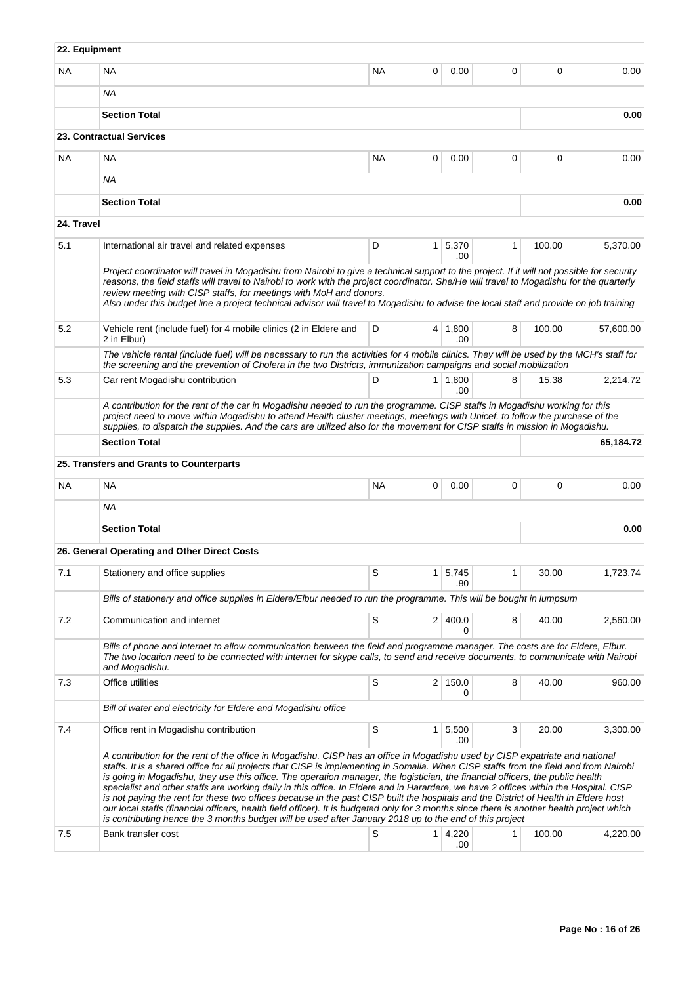| 22. Equipment |                                                                                                                                                                                                                                                                                                                                                                                                                                                                                                                                                                                                                                                                                                                                                                                                                                                                                                                                                 |           |                |                       |              |        |           |
|---------------|-------------------------------------------------------------------------------------------------------------------------------------------------------------------------------------------------------------------------------------------------------------------------------------------------------------------------------------------------------------------------------------------------------------------------------------------------------------------------------------------------------------------------------------------------------------------------------------------------------------------------------------------------------------------------------------------------------------------------------------------------------------------------------------------------------------------------------------------------------------------------------------------------------------------------------------------------|-----------|----------------|-----------------------|--------------|--------|-----------|
| <b>NA</b>     | <b>NA</b>                                                                                                                                                                                                                                                                                                                                                                                                                                                                                                                                                                                                                                                                                                                                                                                                                                                                                                                                       | <b>NA</b> | $\Omega$       | 0.00                  | 0            | 0      | 0.00      |
|               | <b>NA</b>                                                                                                                                                                                                                                                                                                                                                                                                                                                                                                                                                                                                                                                                                                                                                                                                                                                                                                                                       |           |                |                       |              |        |           |
|               | <b>Section Total</b>                                                                                                                                                                                                                                                                                                                                                                                                                                                                                                                                                                                                                                                                                                                                                                                                                                                                                                                            |           |                |                       |              |        | 0.00      |
|               | 23. Contractual Services                                                                                                                                                                                                                                                                                                                                                                                                                                                                                                                                                                                                                                                                                                                                                                                                                                                                                                                        |           |                |                       |              |        |           |
| <b>NA</b>     | <b>NA</b>                                                                                                                                                                                                                                                                                                                                                                                                                                                                                                                                                                                                                                                                                                                                                                                                                                                                                                                                       | <b>NA</b> | 0              | 0.00                  | 0            | 0      | 0.00      |
|               | <b>NA</b>                                                                                                                                                                                                                                                                                                                                                                                                                                                                                                                                                                                                                                                                                                                                                                                                                                                                                                                                       |           |                |                       |              |        |           |
|               | <b>Section Total</b>                                                                                                                                                                                                                                                                                                                                                                                                                                                                                                                                                                                                                                                                                                                                                                                                                                                                                                                            |           |                |                       |              |        | 0.00      |
| 24. Travel    |                                                                                                                                                                                                                                                                                                                                                                                                                                                                                                                                                                                                                                                                                                                                                                                                                                                                                                                                                 |           |                |                       |              |        |           |
| 5.1           | International air travel and related expenses                                                                                                                                                                                                                                                                                                                                                                                                                                                                                                                                                                                                                                                                                                                                                                                                                                                                                                   | D         |                | $1 \mid 5,370$<br>.00 | $\mathbf{1}$ | 100.00 | 5,370.00  |
|               | Project coordinator will travel in Mogadishu from Nairobi to give a technical support to the project. If it will not possible for security<br>reasons, the field staffs will travel to Nairobi to work with the project coordinator. She/He will travel to Mogadishu for the quarterly<br>review meeting with CISP staffs, for meetings with MoH and donors.<br>Also under this budget line a project technical advisor will travel to Mogadishu to advise the local staff and provide on job training                                                                                                                                                                                                                                                                                                                                                                                                                                          |           |                |                       |              |        |           |
| 5.2           | Vehicle rent (include fuel) for 4 mobile clinics (2 in Eldere and<br>2 in Elbur)                                                                                                                                                                                                                                                                                                                                                                                                                                                                                                                                                                                                                                                                                                                                                                                                                                                                | 100.00    | 57,600.00      |                       |              |        |           |
|               | The vehicle rental (include fuel) will be necessary to run the activities for 4 mobile clinics. They will be used by the MCH's staff for<br>the screening and the prevention of Cholera in the two Districts, immunization campaigns and social mobilization                                                                                                                                                                                                                                                                                                                                                                                                                                                                                                                                                                                                                                                                                    |           |                |                       |              |        |           |
| 5.3           | Car rent Mogadishu contribution                                                                                                                                                                                                                                                                                                                                                                                                                                                                                                                                                                                                                                                                                                                                                                                                                                                                                                                 | D         |                | $1 \mid 1,800$<br>.00 | 8            | 15.38  | 2,214.72  |
|               | A contribution for the rent of the car in Mogadishu needed to run the programme. CISP staffs in Mogadishu working for this<br>project need to move within Mogadishu to attend Health cluster meetings, meetings with Unicef, to follow the purchase of the<br>supplies, to dispatch the supplies. And the cars are utilized also for the movement for CISP staffs in mission in Mogadishu.                                                                                                                                                                                                                                                                                                                                                                                                                                                                                                                                                      |           |                |                       |              |        |           |
|               | <b>Section Total</b>                                                                                                                                                                                                                                                                                                                                                                                                                                                                                                                                                                                                                                                                                                                                                                                                                                                                                                                            |           |                |                       |              |        | 65,184.72 |
|               | 25. Transfers and Grants to Counterparts                                                                                                                                                                                                                                                                                                                                                                                                                                                                                                                                                                                                                                                                                                                                                                                                                                                                                                        |           |                |                       |              |        |           |
| <b>NA</b>     | <b>NA</b>                                                                                                                                                                                                                                                                                                                                                                                                                                                                                                                                                                                                                                                                                                                                                                                                                                                                                                                                       | <b>NA</b> | 0              | 0.00                  | 0            | 0      | 0.00      |
|               | <b>NA</b>                                                                                                                                                                                                                                                                                                                                                                                                                                                                                                                                                                                                                                                                                                                                                                                                                                                                                                                                       |           |                |                       |              |        |           |
|               | <b>Section Total</b>                                                                                                                                                                                                                                                                                                                                                                                                                                                                                                                                                                                                                                                                                                                                                                                                                                                                                                                            |           |                |                       |              |        | 0.00      |
|               | 26. General Operating and Other Direct Costs                                                                                                                                                                                                                                                                                                                                                                                                                                                                                                                                                                                                                                                                                                                                                                                                                                                                                                    |           |                |                       |              |        |           |
| 7.1           | Stationery and office supplies                                                                                                                                                                                                                                                                                                                                                                                                                                                                                                                                                                                                                                                                                                                                                                                                                                                                                                                  | S         | 1 <sup>1</sup> | 5,745<br>.80          | 1            | 30.00  | 1,723.74  |
|               | Bills of stationery and office supplies in Eldere/Elbur needed to run the programme. This will be bought in lumpsum                                                                                                                                                                                                                                                                                                                                                                                                                                                                                                                                                                                                                                                                                                                                                                                                                             |           |                |                       |              |        |           |
| 7.2           | Communication and internet                                                                                                                                                                                                                                                                                                                                                                                                                                                                                                                                                                                                                                                                                                                                                                                                                                                                                                                      | S         |                | 2   400.0<br>0        | 8            | 40.00  | 2,560.00  |
|               | Bills of phone and internet to allow communication between the field and programme manager. The costs are for Eldere, Elbur.<br>The two location need to be connected with internet for skype calls, to send and receive documents, to communicate with Nairobi<br>and Mogadishu.                                                                                                                                                                                                                                                                                                                                                                                                                                                                                                                                                                                                                                                               |           |                |                       |              |        |           |
| 7.3           | Office utilities                                                                                                                                                                                                                                                                                                                                                                                                                                                                                                                                                                                                                                                                                                                                                                                                                                                                                                                                | S         |                | $2 \mid 150.0$<br>0   | 8            | 40.00  | 960.00    |
|               | Bill of water and electricity for Eldere and Mogadishu office                                                                                                                                                                                                                                                                                                                                                                                                                                                                                                                                                                                                                                                                                                                                                                                                                                                                                   |           |                |                       |              |        |           |
| 7.4           | Office rent in Mogadishu contribution                                                                                                                                                                                                                                                                                                                                                                                                                                                                                                                                                                                                                                                                                                                                                                                                                                                                                                           | S         | $\mathbf{1}$   | 5,500<br>.00          | 3            | 20.00  | 3,300.00  |
|               | A contribution for the rent of the office in Mogadishu. CISP has an office in Mogadishu used by CISP expatriate and national<br>staffs. It is a shared office for all projects that CISP is implementing in Somalia. When CISP staffs from the field and from Nairobi<br>is going in Mogadishu, they use this office. The operation manager, the logistician, the financial officers, the public health<br>specialist and other staffs are working daily in this office. In Eldere and in Harardere, we have 2 offices within the Hospital. CISP<br>is not paying the rent for these two offices because in the past CISP built the hospitals and the District of Health in Eldere host<br>our local staffs (financial officers, health field officer). It is budgeted only for 3 months since there is another health project which<br>is contributing hence the 3 months budget will be used after January 2018 up to the end of this project |           |                |                       |              |        |           |
| 7.5           | Bank transfer cost                                                                                                                                                                                                                                                                                                                                                                                                                                                                                                                                                                                                                                                                                                                                                                                                                                                                                                                              | S         |                | 1 4,220<br>.00        | 1            | 100.00 | 4,220.00  |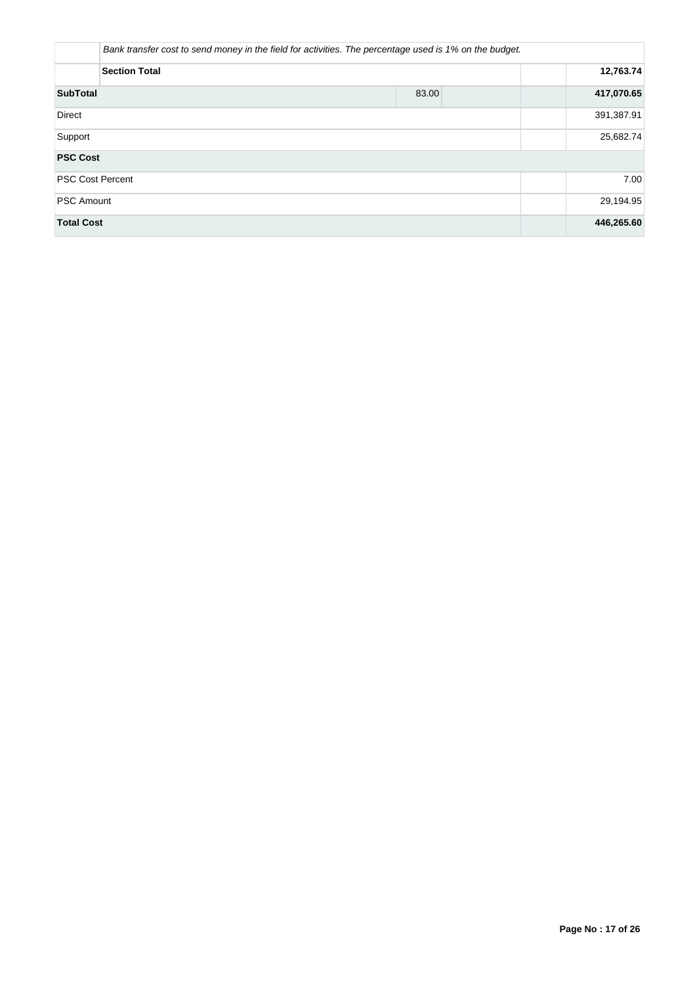|                         | Bank transfer cost to send money in the field for activities. The percentage used is 1% on the budget. |            |  |  |  |  |  |  |  |
|-------------------------|--------------------------------------------------------------------------------------------------------|------------|--|--|--|--|--|--|--|
| <b>Section Total</b>    |                                                                                                        |            |  |  |  |  |  |  |  |
| <b>SubTotal</b>         | 83.00                                                                                                  | 417,070.65 |  |  |  |  |  |  |  |
| <b>Direct</b>           |                                                                                                        | 391,387.91 |  |  |  |  |  |  |  |
| Support                 | 25,682.74                                                                                              |            |  |  |  |  |  |  |  |
| <b>PSC Cost</b>         |                                                                                                        |            |  |  |  |  |  |  |  |
| <b>PSC Cost Percent</b> |                                                                                                        | 7.00       |  |  |  |  |  |  |  |
| <b>PSC Amount</b>       | 29,194.95                                                                                              |            |  |  |  |  |  |  |  |
| <b>Total Cost</b>       |                                                                                                        | 446,265.60 |  |  |  |  |  |  |  |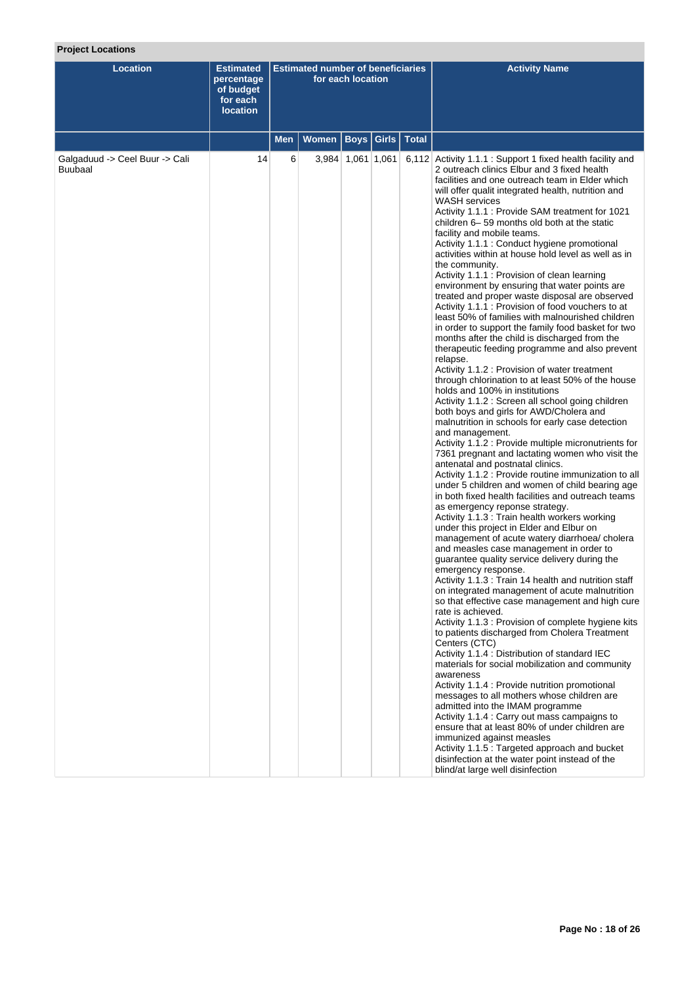# **Project Locations**

| <b>Location</b>                                  | <b>Estimated</b><br>percentage<br>of budget<br>for each<br><b>location</b> |            | <b>Estimated number of beneficiaries</b> | for each location |              |              | <b>Activity Name</b>                                                                                                                                                                                                                                                                                                                                                                                                                                                                                                                                                                                                                                                                                                                                                                                                                                                                                                                                                                                                                                                                                                                                                                                                                                                                                                                                                                                                                                                                                                                                                                                                                                                                                                                                                                                                                                                                                                                                                                                                                                                                                                                                                                                                                                                                                                                                                                                                                                                                                                                                                                                                                                                                                 |
|--------------------------------------------------|----------------------------------------------------------------------------|------------|------------------------------------------|-------------------|--------------|--------------|------------------------------------------------------------------------------------------------------------------------------------------------------------------------------------------------------------------------------------------------------------------------------------------------------------------------------------------------------------------------------------------------------------------------------------------------------------------------------------------------------------------------------------------------------------------------------------------------------------------------------------------------------------------------------------------------------------------------------------------------------------------------------------------------------------------------------------------------------------------------------------------------------------------------------------------------------------------------------------------------------------------------------------------------------------------------------------------------------------------------------------------------------------------------------------------------------------------------------------------------------------------------------------------------------------------------------------------------------------------------------------------------------------------------------------------------------------------------------------------------------------------------------------------------------------------------------------------------------------------------------------------------------------------------------------------------------------------------------------------------------------------------------------------------------------------------------------------------------------------------------------------------------------------------------------------------------------------------------------------------------------------------------------------------------------------------------------------------------------------------------------------------------------------------------------------------------------------------------------------------------------------------------------------------------------------------------------------------------------------------------------------------------------------------------------------------------------------------------------------------------------------------------------------------------------------------------------------------------------------------------------------------------------------------------------------------------|
|                                                  |                                                                            | <b>Men</b> | <b>Women</b>                             |                   | Boys   Girls | <b>Total</b> |                                                                                                                                                                                                                                                                                                                                                                                                                                                                                                                                                                                                                                                                                                                                                                                                                                                                                                                                                                                                                                                                                                                                                                                                                                                                                                                                                                                                                                                                                                                                                                                                                                                                                                                                                                                                                                                                                                                                                                                                                                                                                                                                                                                                                                                                                                                                                                                                                                                                                                                                                                                                                                                                                                      |
| Galgaduud -> Ceel Buur -> Cali<br><b>Buubaal</b> | 14                                                                         | 6          |                                          | 3,984 1,061 1,061 |              |              | 6,112 Activity 1.1.1 : Support 1 fixed health facility and<br>2 outreach clinics Elbur and 3 fixed health<br>facilities and one outreach team in Elder which<br>will offer qualit integrated health, nutrition and<br>WASH services<br>Activity 1.1.1: Provide SAM treatment for 1021<br>children 6-59 months old both at the static<br>facility and mobile teams.<br>Activity 1.1.1 : Conduct hygiene promotional<br>activities within at house hold level as well as in<br>the community.<br>Activity 1.1.1 : Provision of clean learning<br>environment by ensuring that water points are<br>treated and proper waste disposal are observed<br>Activity 1.1.1 : Provision of food vouchers to at<br>least 50% of families with malnourished children<br>in order to support the family food basket for two<br>months after the child is discharged from the<br>therapeutic feeding programme and also prevent<br>relapse.<br>Activity 1.1.2 : Provision of water treatment<br>through chlorination to at least 50% of the house<br>holds and 100% in institutions<br>Activity 1.1.2 : Screen all school going children<br>both boys and girls for AWD/Cholera and<br>malnutrition in schools for early case detection<br>and management.<br>Activity 1.1.2 : Provide multiple micronutrients for<br>7361 pregnant and lactating women who visit the<br>antenatal and postnatal clinics.<br>Activity 1.1.2 : Provide routine immunization to all<br>under 5 children and women of child bearing age<br>in both fixed health facilities and outreach teams<br>as emergency reponse strategy.<br>Activity 1.1.3 : Train health workers working<br>under this project in Elder and Elbur on<br>management of acute watery diarrhoea/ cholera<br>and measles case management in order to<br>guarantee quality service delivery during the<br>emergency response.<br>Activity 1.1.3 : Train 14 health and nutrition staff<br>on integrated management of acute malnutrition<br>so that effective case management and high cure<br>rate is achieved.<br>Activity 1.1.3 : Provision of complete hygiene kits<br>to patients discharged from Cholera Treatment<br>Centers (CTC)<br>Activity 1.1.4 : Distribution of standard IEC<br>materials for social mobilization and community<br>awareness<br>Activity 1.1.4 : Provide nutrition promotional<br>messages to all mothers whose children are<br>admitted into the IMAM programme<br>Activity 1.1.4 : Carry out mass campaigns to<br>ensure that at least 80% of under children are<br>immunized against measles<br>Activity 1.1.5 : Targeted approach and bucket<br>disinfection at the water point instead of the<br>blind/at large well disinfection |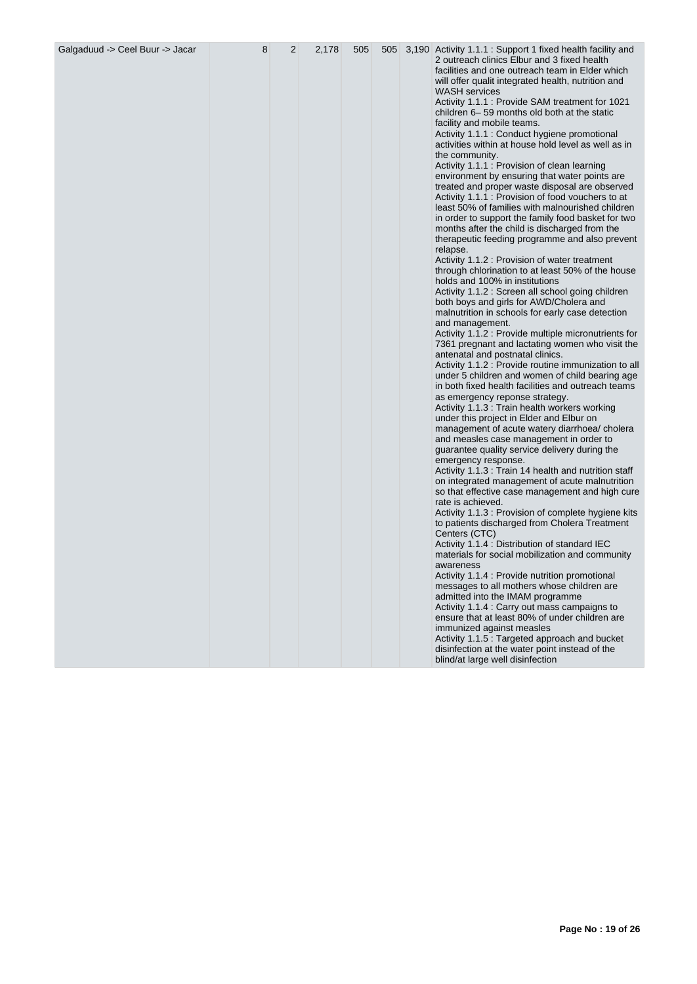| Galgaduud -> Ceel Buur -> Jacar | 8 | 2 | 2,178 | 505 |  | 505 3,190 Activity 1.1.1 : Support 1 fixed health facility and<br>2 outreach clinics Elbur and 3 fixed health<br>facilities and one outreach team in Elder which<br>will offer qualit integrated health, nutrition and                                                     |
|---------------------------------|---|---|-------|-----|--|----------------------------------------------------------------------------------------------------------------------------------------------------------------------------------------------------------------------------------------------------------------------------|
|                                 |   |   |       |     |  | <b>WASH</b> services<br>Activity 1.1.1 : Provide SAM treatment for 1021<br>children 6-59 months old both at the static<br>facility and mobile teams.<br>Activity 1.1.1 : Conduct hygiene promotional<br>activities within at house hold level as well as in                |
|                                 |   |   |       |     |  | the community.<br>Activity 1.1.1 : Provision of clean learning<br>environment by ensuring that water points are<br>treated and proper waste disposal are observed<br>Activity 1.1.1 : Provision of food vouchers to at<br>least 50% of families with malnourished children |
|                                 |   |   |       |     |  | in order to support the family food basket for two<br>months after the child is discharged from the<br>therapeutic feeding programme and also prevent<br>relapse.<br>Activity 1.1.2 : Provision of water treatment                                                         |
|                                 |   |   |       |     |  | through chlorination to at least 50% of the house<br>holds and 100% in institutions<br>Activity 1.1.2 : Screen all school going children<br>both boys and girls for AWD/Cholera and                                                                                        |
|                                 |   |   |       |     |  | malnutrition in schools for early case detection<br>and management.<br>Activity 1.1.2 : Provide multiple micronutrients for<br>7361 pregnant and lactating women who visit the<br>antenatal and postnatal clinics.                                                         |
|                                 |   |   |       |     |  | Activity 1.1.2 : Provide routine immunization to all<br>under 5 children and women of child bearing age<br>in both fixed health facilities and outreach teams<br>as emergency reponse strategy.                                                                            |
|                                 |   |   |       |     |  | Activity 1.1.3 : Train health workers working<br>under this project in Elder and Elbur on<br>management of acute watery diarrhoea/ cholera<br>and measles case management in order to                                                                                      |
|                                 |   |   |       |     |  | guarantee quality service delivery during the<br>emergency response.<br>Activity 1.1.3 : Train 14 health and nutrition staff<br>on integrated management of acute malnutrition<br>so that effective case management and high cure                                          |
|                                 |   |   |       |     |  | rate is achieved.<br>Activity 1.1.3 : Provision of complete hygiene kits<br>to patients discharged from Cholera Treatment<br>Centers (CTC)                                                                                                                                 |
|                                 |   |   |       |     |  | Activity 1.1.4 : Distribution of standard IEC<br>materials for social mobilization and community<br>awareness<br>Activity 1.1.4 : Provide nutrition promotional<br>messages to all mothers whose children are                                                              |
|                                 |   |   |       |     |  | admitted into the IMAM programme<br>Activity 1.1.4 : Carry out mass campaigns to<br>ensure that at least 80% of under children are<br>immunized against measles                                                                                                            |
|                                 |   |   |       |     |  | Activity 1.1.5 : Targeted approach and bucket<br>disinfection at the water point instead of the<br>blind/at large well disinfection                                                                                                                                        |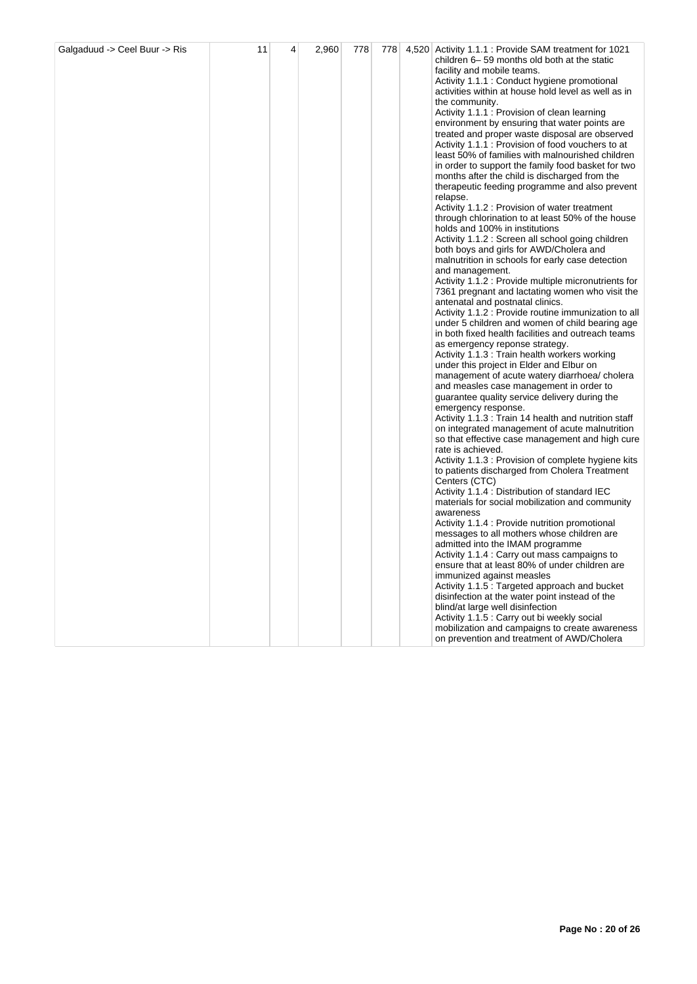| Galgaduud -> Ceel Buur -> Ris | 11 | 4 | 2,960 | 778 |  | 778 4,520 Activity 1.1.1 : Provide SAM treatment for 1021<br>children 6-59 months old both at the static<br>facility and mobile teams.<br>Activity 1.1.1 : Conduct hygiene promotional<br>activities within at house hold level as well as in<br>the community.<br>Activity 1.1.1 : Provision of clean learning<br>environment by ensuring that water points are<br>treated and proper waste disposal are observed<br>Activity 1.1.1 : Provision of food vouchers to at<br>least 50% of families with malnourished children<br>in order to support the family food basket for two<br>months after the child is discharged from the<br>therapeutic feeding programme and also prevent<br>relapse.<br>Activity 1.1.2 : Provision of water treatment<br>through chlorination to at least 50% of the house<br>holds and 100% in institutions<br>Activity 1.1.2 : Screen all school going children<br>both boys and girls for AWD/Cholera and<br>malnutrition in schools for early case detection<br>and management.<br>Activity 1.1.2 : Provide multiple micronutrients for<br>7361 pregnant and lactating women who visit the<br>antenatal and postnatal clinics.<br>Activity 1.1.2 : Provide routine immunization to all<br>under 5 children and women of child bearing age<br>in both fixed health facilities and outreach teams<br>as emergency reponse strategy.<br>Activity 1.1.3 : Train health workers working<br>under this project in Elder and Elbur on<br>management of acute watery diarrhoea/cholera<br>and measles case management in order to<br>guarantee quality service delivery during the<br>emergency response.<br>Activity 1.1.3 : Train 14 health and nutrition staff<br>on integrated management of acute malnutrition<br>so that effective case management and high cure<br>rate is achieved.<br>Activity 1.1.3 : Provision of complete hygiene kits<br>to patients discharged from Cholera Treatment<br>Centers (CTC)<br>Activity 1.1.4 : Distribution of standard IEC<br>materials for social mobilization and community<br>awareness<br>Activity 1.1.4 : Provide nutrition promotional<br>messages to all mothers whose children are<br>admitted into the IMAM programme<br>Activity 1.1.4 : Carry out mass campaigns to<br>ensure that at least 80% of under children are<br>immunized against measles<br>Activity 1.1.5 : Targeted approach and bucket<br>disinfection at the water point instead of the<br>blind/at large well disinfection |
|-------------------------------|----|---|-------|-----|--|-------------------------------------------------------------------------------------------------------------------------------------------------------------------------------------------------------------------------------------------------------------------------------------------------------------------------------------------------------------------------------------------------------------------------------------------------------------------------------------------------------------------------------------------------------------------------------------------------------------------------------------------------------------------------------------------------------------------------------------------------------------------------------------------------------------------------------------------------------------------------------------------------------------------------------------------------------------------------------------------------------------------------------------------------------------------------------------------------------------------------------------------------------------------------------------------------------------------------------------------------------------------------------------------------------------------------------------------------------------------------------------------------------------------------------------------------------------------------------------------------------------------------------------------------------------------------------------------------------------------------------------------------------------------------------------------------------------------------------------------------------------------------------------------------------------------------------------------------------------------------------------------------------------------------------------------------------------------------------------------------------------------------------------------------------------------------------------------------------------------------------------------------------------------------------------------------------------------------------------------------------------------------------------------------------------------------------------------------------------------------------------------------------------------------------------------------------------------------|
|                               |    |   |       |     |  | Activity 1.1.5 : Carry out bi weekly social<br>mobilization and campaigns to create awareness<br>on prevention and treatment of AWD/Cholera                                                                                                                                                                                                                                                                                                                                                                                                                                                                                                                                                                                                                                                                                                                                                                                                                                                                                                                                                                                                                                                                                                                                                                                                                                                                                                                                                                                                                                                                                                                                                                                                                                                                                                                                                                                                                                                                                                                                                                                                                                                                                                                                                                                                                                                                                                                             |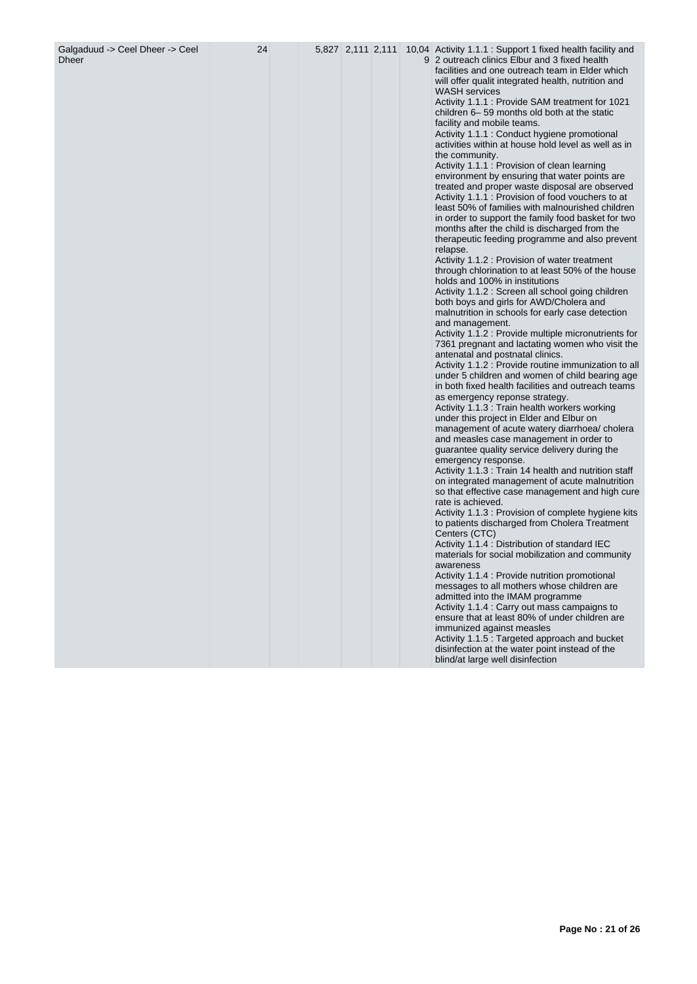| Galgaduud -> Ceel Dheer -> Ceel<br><b>Dheer</b> | 24 |  |  | 5,827 2,111 2,111 10,04 Activity 1.1.1 : Support 1 fixed health facility and<br>9 2 outreach clinics Elbur and 3 fixed health<br>facilities and one outreach team in Elder which<br>will offer qualit integrated health, nutrition and<br><b>WASH</b> services<br>Activity 1.1.1 : Provide SAM treatment for 1021<br>children 6-59 months old both at the static<br>facility and mobile teams.<br>Activity 1.1.1 : Conduct hygiene promotional<br>activities within at house hold level as well as in<br>the community.<br>Activity 1.1.1 : Provision of clean learning<br>environment by ensuring that water points are<br>treated and proper waste disposal are observed<br>Activity 1.1.1 : Provision of food vouchers to at<br>least 50% of families with malnourished children<br>in order to support the family food basket for two<br>months after the child is discharged from the<br>therapeutic feeding programme and also prevent<br>relapse.<br>Activity 1.1.2 : Provision of water treatment<br>through chlorination to at least 50% of the house<br>holds and 100% in institutions<br>Activity 1.1.2 : Screen all school going children<br>both boys and girls for AWD/Cholera and<br>malnutrition in schools for early case detection<br>and management.<br>Activity 1.1.2 : Provide multiple micronutrients for<br>7361 pregnant and lactating women who visit the<br>antenatal and postnatal clinics.<br>Activity 1.1.2 : Provide routine immunization to all<br>under 5 children and women of child bearing age<br>in both fixed health facilities and outreach teams<br>as emergency reponse strategy.<br>Activity 1.1.3 : Train health workers working<br>under this project in Elder and Elbur on<br>management of acute watery diarrhoea/ cholera<br>and measles case management in order to<br>guarantee quality service delivery during the<br>emergency response.<br>Activity 1.1.3 : Train 14 health and nutrition staff<br>on integrated management of acute malnutrition<br>so that effective case management and high cure<br>rate is achieved.<br>Activity 1.1.3 : Provision of complete hygiene kits<br>to patients discharged from Cholera Treatment<br>Centers (CTC)<br>Activity 1.1.4 : Distribution of standard IEC<br>materials for social mobilization and community<br>awareness<br>Activity 1.1.4 : Provide nutrition promotional<br>messages to all mothers whose children are<br>admitted into the IMAM programme<br>Activity 1.1.4 : Carry out mass campaigns to<br>ensure that at least 80% of under children are<br>immunized against measles<br>Activity 1.1.5 : Targeted approach and bucket |
|-------------------------------------------------|----|--|--|--------------------------------------------------------------------------------------------------------------------------------------------------------------------------------------------------------------------------------------------------------------------------------------------------------------------------------------------------------------------------------------------------------------------------------------------------------------------------------------------------------------------------------------------------------------------------------------------------------------------------------------------------------------------------------------------------------------------------------------------------------------------------------------------------------------------------------------------------------------------------------------------------------------------------------------------------------------------------------------------------------------------------------------------------------------------------------------------------------------------------------------------------------------------------------------------------------------------------------------------------------------------------------------------------------------------------------------------------------------------------------------------------------------------------------------------------------------------------------------------------------------------------------------------------------------------------------------------------------------------------------------------------------------------------------------------------------------------------------------------------------------------------------------------------------------------------------------------------------------------------------------------------------------------------------------------------------------------------------------------------------------------------------------------------------------------------------------------------------------------------------------------------------------------------------------------------------------------------------------------------------------------------------------------------------------------------------------------------------------------------------------------------------------------------------------------------------------------------------------------------------------------------------------------------------------------------------------------------------------------------------------------|
|                                                 |    |  |  | disinfection at the water point instead of the<br>blind/at large well disinfection                                                                                                                                                                                                                                                                                                                                                                                                                                                                                                                                                                                                                                                                                                                                                                                                                                                                                                                                                                                                                                                                                                                                                                                                                                                                                                                                                                                                                                                                                                                                                                                                                                                                                                                                                                                                                                                                                                                                                                                                                                                                                                                                                                                                                                                                                                                                                                                                                                                                                                                                                         |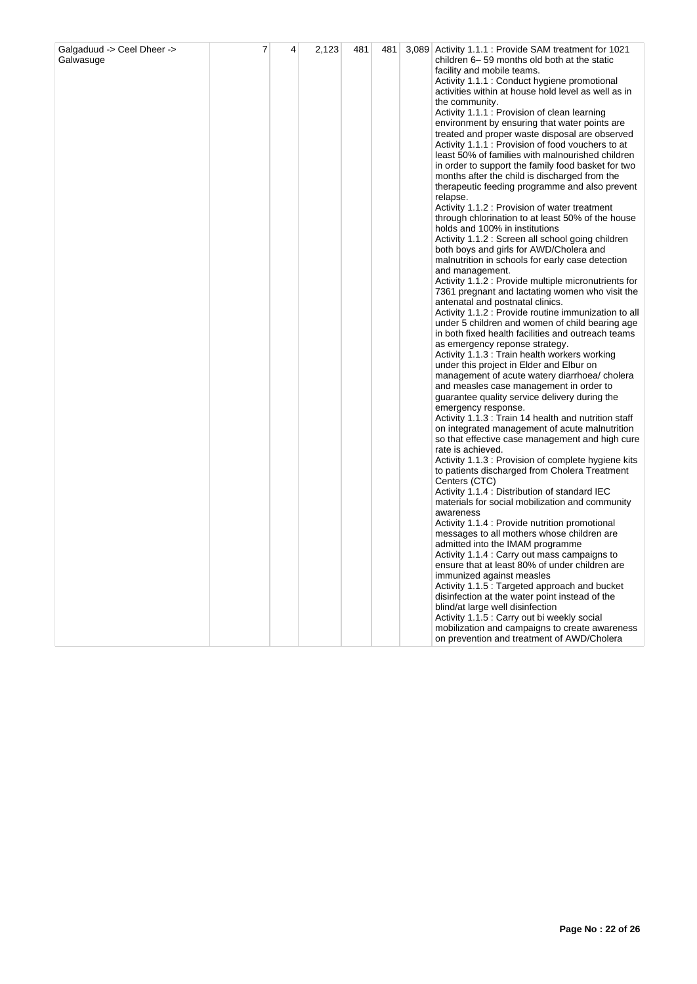| Galgaduud -> Ceel Dheer -><br>Galwasuge | 7 | 4 | 2,123 | 481 | 481 |  | 3,089 Activity 1.1.1 : Provide SAM treatment for 1021<br>children 6–59 months old both at the static<br>facility and mobile teams.<br>Activity 1.1.1 : Conduct hygiene promotional<br>activities within at house hold level as well as in<br>the community.<br>Activity 1.1.1 : Provision of clean learning<br>environment by ensuring that water points are<br>treated and proper waste disposal are observed<br>Activity 1.1.1 : Provision of food vouchers to at<br>least 50% of families with malnourished children<br>in order to support the family food basket for two<br>months after the child is discharged from the<br>therapeutic feeding programme and also prevent<br>relapse.<br>Activity 1.1.2 : Provision of water treatment<br>through chlorination to at least 50% of the house<br>holds and 100% in institutions<br>Activity 1.1.2 : Screen all school going children<br>both boys and girls for AWD/Cholera and<br>malnutrition in schools for early case detection<br>and management.<br>Activity 1.1.2 : Provide multiple micronutrients for<br>7361 pregnant and lactating women who visit the<br>antenatal and postnatal clinics.<br>Activity 1.1.2 : Provide routine immunization to all<br>under 5 children and women of child bearing age<br>in both fixed health facilities and outreach teams<br>as emergency reponse strategy.<br>Activity 1.1.3 : Train health workers working<br>under this project in Elder and Elbur on<br>management of acute watery diarrhoea/cholera<br>and measles case management in order to<br>guarantee quality service delivery during the<br>emergency response.<br>Activity 1.1.3 : Train 14 health and nutrition staff<br>on integrated management of acute malnutrition<br>so that effective case management and high cure<br>rate is achieved.<br>Activity 1.1.3 : Provision of complete hygiene kits<br>to patients discharged from Cholera Treatment<br>Centers (CTC)<br>Activity 1.1.4 : Distribution of standard IEC<br>materials for social mobilization and community<br>awareness<br>Activity 1.1.4 : Provide nutrition promotional<br>messages to all mothers whose children are<br>admitted into the IMAM programme<br>Activity 1.1.4 : Carry out mass campaigns to<br>ensure that at least 80% of under children are<br>immunized against measles<br>Activity 1.1.5 : Targeted approach and bucket<br>disinfection at the water point instead of the<br>blind/at large well disinfection<br>Activity 1.1.5 : Carry out bi weekly social<br>mobilization and campaigns to create awareness<br>on prevention and treatment of AWD/Cholera |
|-----------------------------------------|---|---|-------|-----|-----|--|--------------------------------------------------------------------------------------------------------------------------------------------------------------------------------------------------------------------------------------------------------------------------------------------------------------------------------------------------------------------------------------------------------------------------------------------------------------------------------------------------------------------------------------------------------------------------------------------------------------------------------------------------------------------------------------------------------------------------------------------------------------------------------------------------------------------------------------------------------------------------------------------------------------------------------------------------------------------------------------------------------------------------------------------------------------------------------------------------------------------------------------------------------------------------------------------------------------------------------------------------------------------------------------------------------------------------------------------------------------------------------------------------------------------------------------------------------------------------------------------------------------------------------------------------------------------------------------------------------------------------------------------------------------------------------------------------------------------------------------------------------------------------------------------------------------------------------------------------------------------------------------------------------------------------------------------------------------------------------------------------------------------------------------------------------------------------------------------------------------------------------------------------------------------------------------------------------------------------------------------------------------------------------------------------------------------------------------------------------------------------------------------------------------------------------------------------------------------------------------------------------------------------------------------------------------------------------------------------------------------|
|-----------------------------------------|---|---|-------|-----|-----|--|--------------------------------------------------------------------------------------------------------------------------------------------------------------------------------------------------------------------------------------------------------------------------------------------------------------------------------------------------------------------------------------------------------------------------------------------------------------------------------------------------------------------------------------------------------------------------------------------------------------------------------------------------------------------------------------------------------------------------------------------------------------------------------------------------------------------------------------------------------------------------------------------------------------------------------------------------------------------------------------------------------------------------------------------------------------------------------------------------------------------------------------------------------------------------------------------------------------------------------------------------------------------------------------------------------------------------------------------------------------------------------------------------------------------------------------------------------------------------------------------------------------------------------------------------------------------------------------------------------------------------------------------------------------------------------------------------------------------------------------------------------------------------------------------------------------------------------------------------------------------------------------------------------------------------------------------------------------------------------------------------------------------------------------------------------------------------------------------------------------------------------------------------------------------------------------------------------------------------------------------------------------------------------------------------------------------------------------------------------------------------------------------------------------------------------------------------------------------------------------------------------------------------------------------------------------------------------------------------------------------|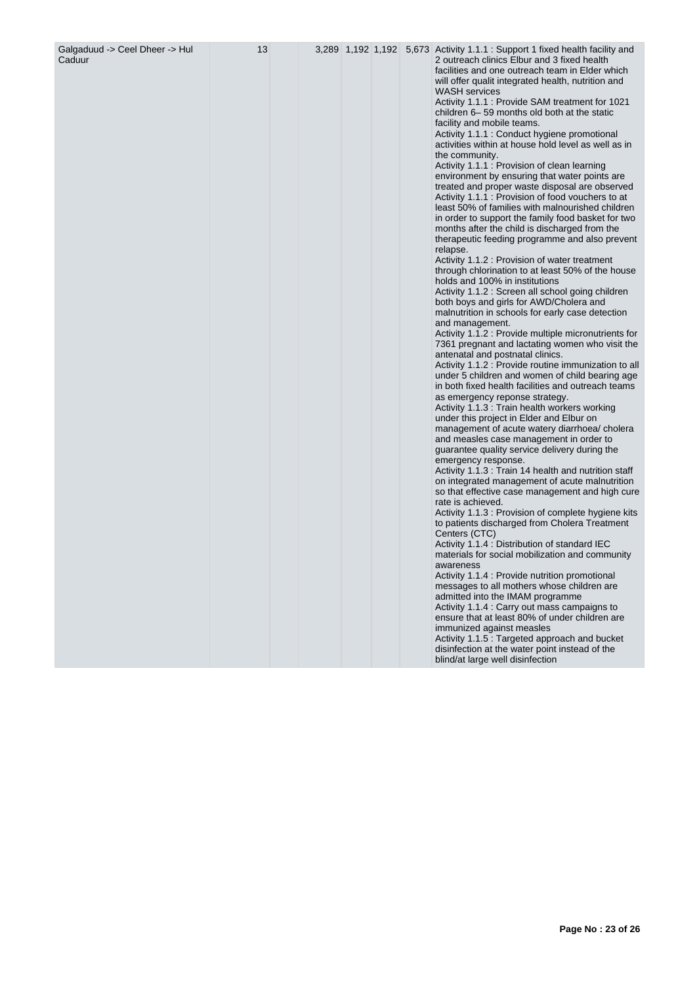| Galgaduud -> Ceel Dheer -> Hul<br>Caduur | 13 |  |  | 3,289 1,192 1,192 5,673 Activity 1.1.1 : Support 1 fixed health facility and<br>2 outreach clinics Elbur and 3 fixed health<br>facilities and one outreach team in Elder which<br>will offer qualit integrated health, nutrition and<br><b>WASH</b> services<br>Activity 1.1.1 : Provide SAM treatment for 1021<br>children 6–59 months old both at the static<br>facility and mobile teams.<br>Activity 1.1.1 : Conduct hygiene promotional<br>activities within at house hold level as well as in<br>the community.<br>Activity 1.1.1 : Provision of clean learning<br>environment by ensuring that water points are<br>treated and proper waste disposal are observed<br>Activity 1.1.1 : Provision of food vouchers to at<br>least 50% of families with malnourished children<br>in order to support the family food basket for two<br>months after the child is discharged from the<br>therapeutic feeding programme and also prevent<br>relapse.<br>Activity 1.1.2 : Provision of water treatment<br>through chlorination to at least 50% of the house<br>holds and 100% in institutions<br>Activity 1.1.2 : Screen all school going children<br>both boys and girls for AWD/Cholera and<br>malnutrition in schools for early case detection<br>and management.<br>Activity 1.1.2 : Provide multiple micronutrients for<br>7361 pregnant and lactating women who visit the<br>antenatal and postnatal clinics.<br>Activity 1.1.2 : Provide routine immunization to all<br>under 5 children and women of child bearing age<br>in both fixed health facilities and outreach teams<br>as emergency reponse strategy.<br>Activity 1.1.3 : Train health workers working<br>under this project in Elder and Elbur on<br>management of acute watery diarrhoea/cholera<br>and measles case management in order to<br>guarantee quality service delivery during the<br>emergency response.<br>Activity 1.1.3 : Train 14 health and nutrition staff<br>on integrated management of acute malnutrition<br>so that effective case management and high cure<br>rate is achieved.<br>Activity 1.1.3 : Provision of complete hygiene kits<br>to patients discharged from Cholera Treatment<br>Centers (CTC)<br>Activity 1.1.4 : Distribution of standard IEC<br>materials for social mobilization and community<br>awareness<br>Activity 1.1.4 : Provide nutrition promotional<br>messages to all mothers whose children are<br>admitted into the IMAM programme<br>Activity 1.1.4 : Carry out mass campaigns to<br>ensure that at least 80% of under children are<br>immunized against measles |
|------------------------------------------|----|--|--|----------------------------------------------------------------------------------------------------------------------------------------------------------------------------------------------------------------------------------------------------------------------------------------------------------------------------------------------------------------------------------------------------------------------------------------------------------------------------------------------------------------------------------------------------------------------------------------------------------------------------------------------------------------------------------------------------------------------------------------------------------------------------------------------------------------------------------------------------------------------------------------------------------------------------------------------------------------------------------------------------------------------------------------------------------------------------------------------------------------------------------------------------------------------------------------------------------------------------------------------------------------------------------------------------------------------------------------------------------------------------------------------------------------------------------------------------------------------------------------------------------------------------------------------------------------------------------------------------------------------------------------------------------------------------------------------------------------------------------------------------------------------------------------------------------------------------------------------------------------------------------------------------------------------------------------------------------------------------------------------------------------------------------------------------------------------------------------------------------------------------------------------------------------------------------------------------------------------------------------------------------------------------------------------------------------------------------------------------------------------------------------------------------------------------------------------------------------------------------------------------------------------------------------------------------------------------------------|
|                                          |    |  |  | Activity 1.1.5 : Targeted approach and bucket<br>disinfection at the water point instead of the<br>blind/at large well disinfection                                                                                                                                                                                                                                                                                                                                                                                                                                                                                                                                                                                                                                                                                                                                                                                                                                                                                                                                                                                                                                                                                                                                                                                                                                                                                                                                                                                                                                                                                                                                                                                                                                                                                                                                                                                                                                                                                                                                                                                                                                                                                                                                                                                                                                                                                                                                                                                                                                                    |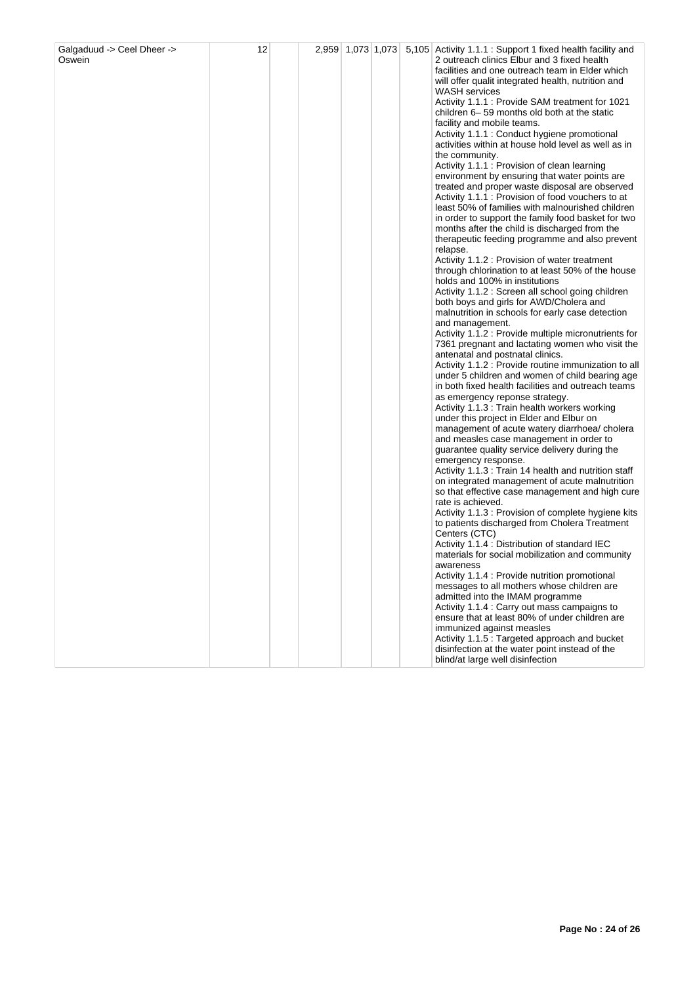| Galgaduud -> Ceel Dheer -><br>Oswein | 12 |  |  |  |  | 2,959 1,073 1,073 5,105 Activity 1.1.1 : Support 1 fixed health facility and<br>2 outreach clinics Elbur and 3 fixed health<br>facilities and one outreach team in Elder which<br>will offer qualit integrated health, nutrition and<br><b>WASH</b> services<br>Activity 1.1.1 : Provide SAM treatment for 1021<br>children 6–59 months old both at the static<br>facility and mobile teams.<br>Activity 1.1.1 : Conduct hygiene promotional<br>activities within at house hold level as well as in<br>the community.<br>Activity 1.1.1 : Provision of clean learning<br>environment by ensuring that water points are<br>treated and proper waste disposal are observed<br>Activity 1.1.1 : Provision of food vouchers to at<br>least 50% of families with malnourished children<br>in order to support the family food basket for two<br>months after the child is discharged from the<br>therapeutic feeding programme and also prevent<br>relapse.<br>Activity 1.1.2 : Provision of water treatment<br>through chlorination to at least 50% of the house<br>holds and 100% in institutions<br>Activity 1.1.2 : Screen all school going children<br>both boys and girls for AWD/Cholera and<br>malnutrition in schools for early case detection<br>and management.<br>Activity 1.1.2 : Provide multiple micronutrients for<br>7361 pregnant and lactating women who visit the<br>antenatal and postnatal clinics.<br>Activity 1.1.2 : Provide routine immunization to all<br>under 5 children and women of child bearing age<br>in both fixed health facilities and outreach teams<br>as emergency reponse strategy.<br>Activity 1.1.3 : Train health workers working<br>under this project in Elder and Elbur on<br>management of acute watery diarrhoea/cholera<br>and measles case management in order to<br>guarantee quality service delivery during the<br>emergency response.<br>Activity 1.1.3 : Train 14 health and nutrition staff<br>on integrated management of acute malnutrition<br>so that effective case management and high cure<br>rate is achieved.<br>Activity 1.1.3 : Provision of complete hygiene kits<br>to patients discharged from Cholera Treatment<br>Centers (CTC)<br>Activity 1.1.4 : Distribution of standard IEC<br>materials for social mobilization and community<br>awareness<br>Activity 1.1.4 : Provide nutrition promotional<br>messages to all mothers whose children are<br>admitted into the IMAM programme<br>Activity 1.1.4 : Carry out mass campaigns to<br>ensure that at least 80% of under children are<br>immunized against measles<br>Activity 1.1.5 : Targeted approach and bucket<br>disinfection at the water point instead of the<br>blind/at large well disinfection |
|--------------------------------------|----|--|--|--|--|-------------------------------------------------------------------------------------------------------------------------------------------------------------------------------------------------------------------------------------------------------------------------------------------------------------------------------------------------------------------------------------------------------------------------------------------------------------------------------------------------------------------------------------------------------------------------------------------------------------------------------------------------------------------------------------------------------------------------------------------------------------------------------------------------------------------------------------------------------------------------------------------------------------------------------------------------------------------------------------------------------------------------------------------------------------------------------------------------------------------------------------------------------------------------------------------------------------------------------------------------------------------------------------------------------------------------------------------------------------------------------------------------------------------------------------------------------------------------------------------------------------------------------------------------------------------------------------------------------------------------------------------------------------------------------------------------------------------------------------------------------------------------------------------------------------------------------------------------------------------------------------------------------------------------------------------------------------------------------------------------------------------------------------------------------------------------------------------------------------------------------------------------------------------------------------------------------------------------------------------------------------------------------------------------------------------------------------------------------------------------------------------------------------------------------------------------------------------------------------------------------------------------------------------------------------------------------------------------------------------------------------------------------------------------------------------------------------------------------|
|--------------------------------------|----|--|--|--|--|-------------------------------------------------------------------------------------------------------------------------------------------------------------------------------------------------------------------------------------------------------------------------------------------------------------------------------------------------------------------------------------------------------------------------------------------------------------------------------------------------------------------------------------------------------------------------------------------------------------------------------------------------------------------------------------------------------------------------------------------------------------------------------------------------------------------------------------------------------------------------------------------------------------------------------------------------------------------------------------------------------------------------------------------------------------------------------------------------------------------------------------------------------------------------------------------------------------------------------------------------------------------------------------------------------------------------------------------------------------------------------------------------------------------------------------------------------------------------------------------------------------------------------------------------------------------------------------------------------------------------------------------------------------------------------------------------------------------------------------------------------------------------------------------------------------------------------------------------------------------------------------------------------------------------------------------------------------------------------------------------------------------------------------------------------------------------------------------------------------------------------------------------------------------------------------------------------------------------------------------------------------------------------------------------------------------------------------------------------------------------------------------------------------------------------------------------------------------------------------------------------------------------------------------------------------------------------------------------------------------------------------------------------------------------------------------------------------------------------|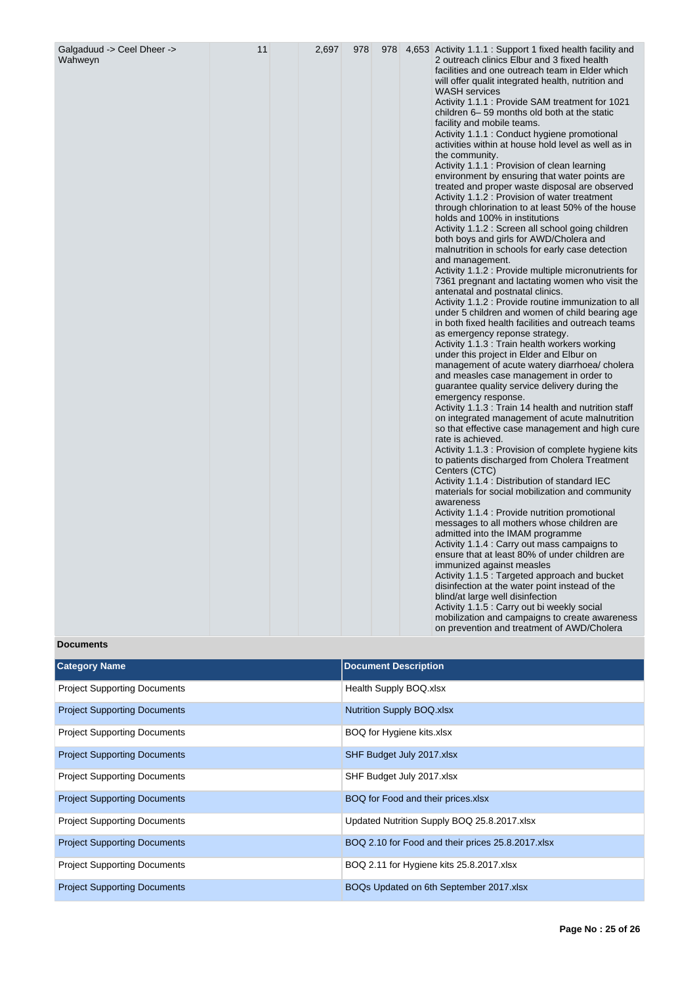| Wahweyn |  |  |  |  |  | 2 outreach clinics Elbur and 3 fixed health<br>facilities and one outreach team in Elder which<br>will offer qualit integrated health, nutrition and<br><b>WASH</b> services<br>Activity 1.1.1 : Provide SAM treatment for 1021<br>children 6-59 months old both at the static<br>facility and mobile teams.<br>Activity 1.1.1 : Conduct hygiene promotional<br>activities within at house hold level as well as in<br>the community.<br>Activity 1.1.1 : Provision of clean learning<br>environment by ensuring that water points are<br>treated and proper waste disposal are observed<br>Activity 1.1.2 : Provision of water treatment<br>through chlorination to at least 50% of the house<br>holds and 100% in institutions<br>Activity 1.1.2 : Screen all school going children<br>both boys and girls for AWD/Cholera and<br>malnutrition in schools for early case detection<br>and management.<br>Activity 1.1.2 : Provide multiple micronutrients for<br>7361 pregnant and lactating women who visit the<br>antenatal and postnatal clinics.<br>Activity 1.1.2 : Provide routine immunization to all<br>under 5 children and women of child bearing age<br>in both fixed health facilities and outreach teams<br>as emergency reponse strategy.<br>Activity 1.1.3 : Train health workers working<br>under this project in Elder and Elbur on<br>management of acute watery diarrhoea/ cholera<br>and measles case management in order to<br>guarantee quality service delivery during the<br>emergency response.<br>Activity 1.1.3 : Train 14 health and nutrition staff<br>on integrated management of acute malnutrition<br>so that effective case management and high cure<br>rate is achieved.<br>Activity 1.1.3 : Provision of complete hygiene kits<br>to patients discharged from Cholera Treatment<br>Centers (CTC)<br>Activity 1.1.4 : Distribution of standard IEC<br>materials for social mobilization and community<br>awareness<br>Activity 1.1.4 : Provide nutrition promotional<br>messages to all mothers whose children are<br>admitted into the IMAM programme<br>Activity 1.1.4 : Carry out mass campaigns to<br>ensure that at least 80% of under children are<br>immunized against measles<br>Activity 1.1.5 : Targeted approach and bucket |
|---------|--|--|--|--|--|----------------------------------------------------------------------------------------------------------------------------------------------------------------------------------------------------------------------------------------------------------------------------------------------------------------------------------------------------------------------------------------------------------------------------------------------------------------------------------------------------------------------------------------------------------------------------------------------------------------------------------------------------------------------------------------------------------------------------------------------------------------------------------------------------------------------------------------------------------------------------------------------------------------------------------------------------------------------------------------------------------------------------------------------------------------------------------------------------------------------------------------------------------------------------------------------------------------------------------------------------------------------------------------------------------------------------------------------------------------------------------------------------------------------------------------------------------------------------------------------------------------------------------------------------------------------------------------------------------------------------------------------------------------------------------------------------------------------------------------------------------------------------------------------------------------------------------------------------------------------------------------------------------------------------------------------------------------------------------------------------------------------------------------------------------------------------------------------------------------------------------------------------------------------------------------------------------------------------------------------------------------------------|
|---------|--|--|--|--|--|----------------------------------------------------------------------------------------------------------------------------------------------------------------------------------------------------------------------------------------------------------------------------------------------------------------------------------------------------------------------------------------------------------------------------------------------------------------------------------------------------------------------------------------------------------------------------------------------------------------------------------------------------------------------------------------------------------------------------------------------------------------------------------------------------------------------------------------------------------------------------------------------------------------------------------------------------------------------------------------------------------------------------------------------------------------------------------------------------------------------------------------------------------------------------------------------------------------------------------------------------------------------------------------------------------------------------------------------------------------------------------------------------------------------------------------------------------------------------------------------------------------------------------------------------------------------------------------------------------------------------------------------------------------------------------------------------------------------------------------------------------------------------------------------------------------------------------------------------------------------------------------------------------------------------------------------------------------------------------------------------------------------------------------------------------------------------------------------------------------------------------------------------------------------------------------------------------------------------------------------------------------------------|

# **Documents**

| <b>Category Name</b>                | <b>Document Description</b>                       |
|-------------------------------------|---------------------------------------------------|
| <b>Project Supporting Documents</b> | Health Supply BOQ.xlsx                            |
| <b>Project Supporting Documents</b> | <b>Nutrition Supply BOQ.xlsx</b>                  |
| <b>Project Supporting Documents</b> | BOQ for Hygiene kits.xlsx                         |
| <b>Project Supporting Documents</b> | SHF Budget July 2017.xlsx                         |
| <b>Project Supporting Documents</b> | SHF Budget July 2017.xlsx                         |
| <b>Project Supporting Documents</b> | BOQ for Food and their prices.xlsx                |
| <b>Project Supporting Documents</b> | Updated Nutrition Supply BOQ 25.8.2017.xlsx       |
| <b>Project Supporting Documents</b> | BOQ 2.10 for Food and their prices 25.8.2017.xlsx |
| <b>Project Supporting Documents</b> | BOQ 2.11 for Hygiene kits 25.8.2017.xlsx          |
| <b>Project Supporting Documents</b> | BOQs Updated on 6th September 2017.xlsx           |